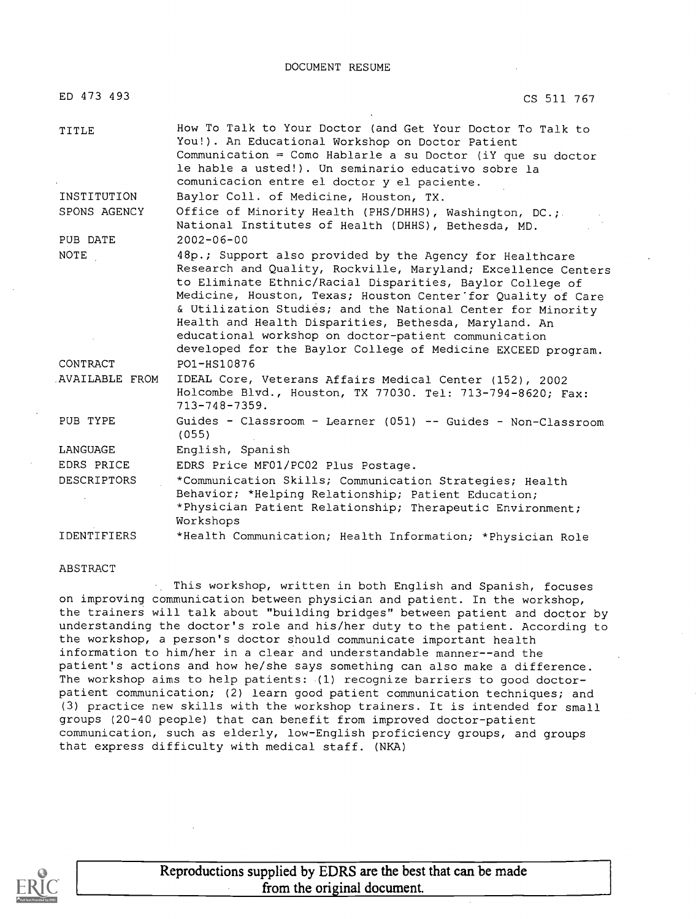DOCUMENT RESUME

| ED 473 493            | CS 511 767                                                                                                                                                                                                                                                                                                                                                                                                                                                                                             |
|-----------------------|--------------------------------------------------------------------------------------------------------------------------------------------------------------------------------------------------------------------------------------------------------------------------------------------------------------------------------------------------------------------------------------------------------------------------------------------------------------------------------------------------------|
| TITLE                 | How To Talk to Your Doctor (and Get Your Doctor To Talk to<br>You!). An Educational Workshop on Doctor Patient<br>Communication = Como Hablarle a su Doctor (iY que su doctor<br>le hable a usted!). Un seminario educativo sobre la<br>comunicacion entre el doctor y el paciente.                                                                                                                                                                                                                    |
| INSTITUTION           | Baylor Coll. of Medicine, Houston, TX.                                                                                                                                                                                                                                                                                                                                                                                                                                                                 |
| SPONS AGENCY          | Office of Minority Health (PHS/DHHS), Washington, DC.;<br>National Institutes of Health (DHHS), Bethesda, MD.                                                                                                                                                                                                                                                                                                                                                                                          |
| PUB DATE              | $2002 - 06 - 00$                                                                                                                                                                                                                                                                                                                                                                                                                                                                                       |
| NOTE                  | 48p.; Support also provided by the Agency for Healthcare<br>Research and Quality, Rockville, Maryland; Excellence Centers<br>to Eliminate Ethnic/Racial Disparities, Baylor College of<br>Medicine, Houston, Texas; Houston Center for Quality of Care<br>& Utilization Studies; and the National Center for Minority<br>Health and Health Disparities, Bethesda, Maryland. An<br>educational workshop on doctor-patient communication<br>developed for the Baylor College of Medicine EXCEED program. |
| CONTRACT              | PO1-HS10876                                                                                                                                                                                                                                                                                                                                                                                                                                                                                            |
| <b>AVAILABLE FROM</b> | IDEAL Core, Veterans Affairs Medical Center (152), 2002<br>Holcombe Blvd., Houston, TX 77030. Tel: 713-794-8620; Fax:<br>$713 - 748 - 7359.$                                                                                                                                                                                                                                                                                                                                                           |
| PUB TYPE              | Guides - Classroom - Learner (051) -- Guides - Non-Classroom<br>(055)                                                                                                                                                                                                                                                                                                                                                                                                                                  |
| LANGUAGE              | English, Spanish                                                                                                                                                                                                                                                                                                                                                                                                                                                                                       |
| EDRS PRICE            | EDRS Price MF01/PC02 Plus Postage.                                                                                                                                                                                                                                                                                                                                                                                                                                                                     |
| <b>DESCRIPTORS</b>    | *Communication Skills; Communication Strategies; Health<br>Behavior; *Helping Relationship; Patient Education;<br>*Physician Patient Relationship; Therapeutic Environment;<br>Workshops                                                                                                                                                                                                                                                                                                               |
| <b>IDENTIFIERS</b>    | *Health Communication; Health Information; *Physician Role                                                                                                                                                                                                                                                                                                                                                                                                                                             |

#### ABSTRACT

This workshop, written in both English and Spanish, focuses on improving communication between physician and patient. In the workshop, the trainers will talk about "building bridges" between patient and doctor by understanding the doctor's role and his/her duty to the patient. According to the workshop, a person's doctor should communicate important health information to him/her in a clear and understandable manner--and the patient's actions and how he/she says something can also make a difference. The workshop aims to help patients: (1) recognize barriers to good doctorpatient communication; (2) learn good patient communication techniques; and (3) practice new skills with the workshop trainers. It is intended for small groups (20-40 people) that can benefit from improved doctor-patient communication, such as elderly, low-English proficiency groups, and groups that express difficulty with medical staff. (NKA)



Reproductions supplied by EDRS are the best that can be made from the original document.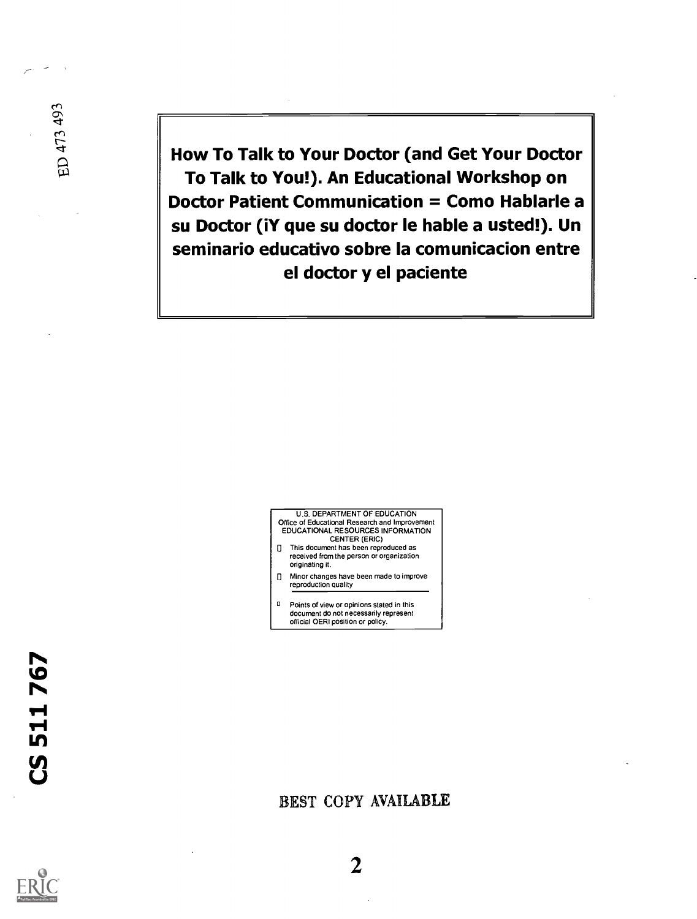How To Talk to Your Doctor (and Get Your Doctor To Talk to You!). An Educational Workshop on Doctor Patient Communication = Como Hablarle a su Doctor (iY que su doctor le hable a usted!). Un seminario educativo sobre la comunicacion entre el doctor y el paciente



<sup>0</sup> Points of view or opinions stated in this document do not necessarily represent official OERI position or policy.

r-

ED 473 493

### BEST COPY AVAILABLE



2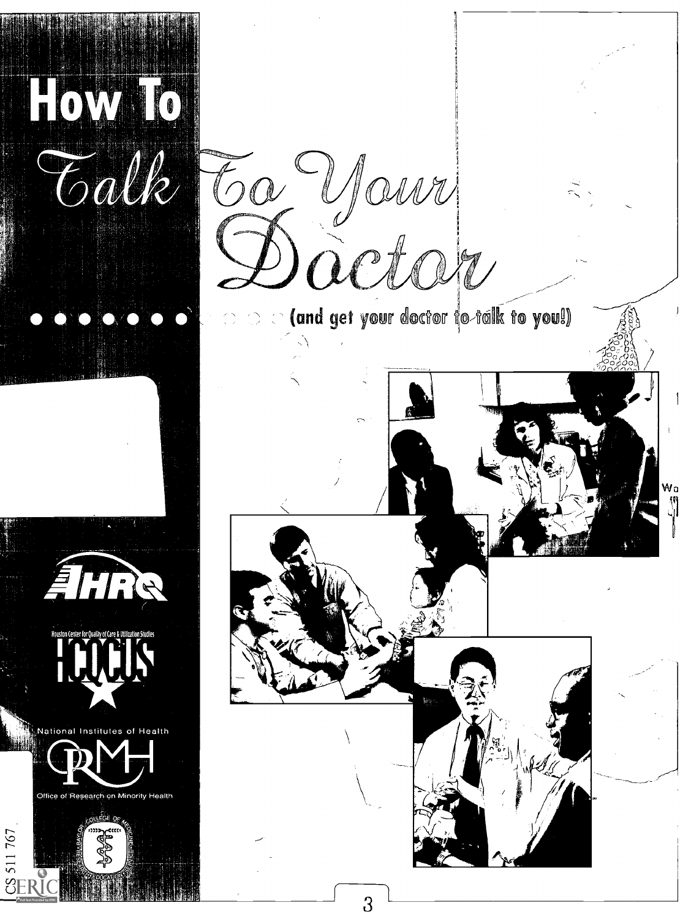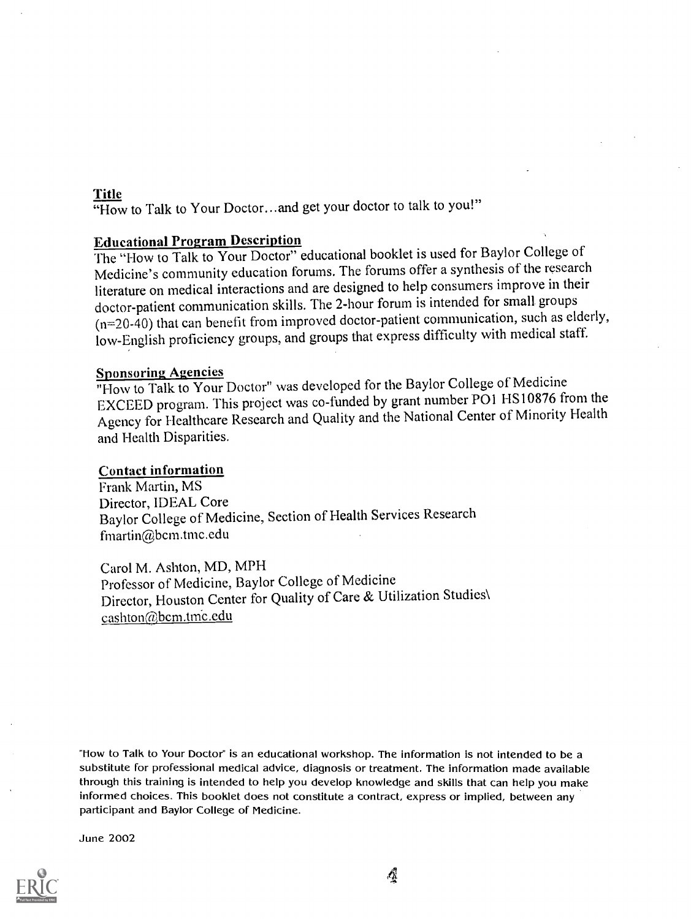### Title

"How to Talk to Your Doctor... and get your doctor to talk to you!"

### Educational Program Description

The "How to Talk to Your Doctor" educational booklet is used for Baylor College of Medicine's community education forums. The forums offer a synthesis of the research literature on medical interactions and are designed to help consumers improve in their doctor-patient communication skills. The 2-hour forum is intended for small groups  $(n=20-40)$  that can benefit from improved doctor-patient communication, such as elderly, low-English proficiency groups, and groups that express difficulty with medical staff.

### Sponsoring Agencies

"How to Talk to Your Doctor" was developed for the Baylor College of Medicine EXCEED program. This project was co-funded by grant number POI HS10876 from the Agency for Healthcare Research and Quality and the National Center of Minority Health. and Health Disparities.

### Contact information

Frank Martin, MS Director, IDEAL Core Baylor College of Medicine, Section of Health Services Research fmartin@bcm.tmc.edu

Carol M. Ashton, MD, MPH Professor of Medicine, Baylor College of Medicine Director, Houston Center for Quality of Care & Utilization Studies\ cashton@bcm.tme.edu

"How to Talk to Your Doctor" is an educational workshop. The information is not intended to be a substitute for professional medical advice, diagnosis or treatment. The information made available through this training is intended to help you develop knowledge and skills that can help you make informed choices. This booklet does not constitute a contract, express or implied, between any participant and Baylor College of Medicine.

June 2002

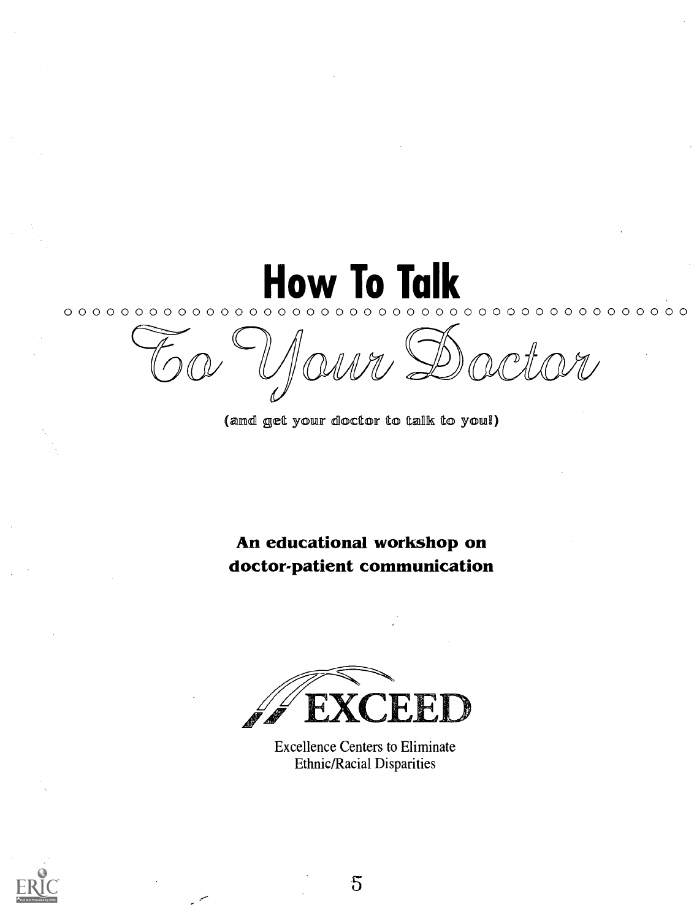How To Talk  ${\color{blue}0.0~{\color{blue}0.0~{\color{blue}0.0~{\color{blue}0.0~{\color{blue}0.0~{\color{blue}0.0~{\color{blue}0.0~{\color{blue}0.0~{\color{blue}0.0~{\color{blue}0.0~{\color{blue}0.0~{\color{blue}0.0~{\color{blue}0.0~{\color{blue}0.0~{\color{blue}0.0~{\color{blue}0.0~{\color{blue}0.0~{\color{blue}0.0~{\color{blue}0.0~{\color{blue}0.0~{\color{blue}0.0~{\color{blue}0.0~{\color{blue}0.0~{\color{blue}0.0~{\color{blue$ rctor

(and get your doctor to talk to you!)

An educational workshop on doctor-patient communication



Excellence Centers to Eliminate Ethnic/Racial Disparities



5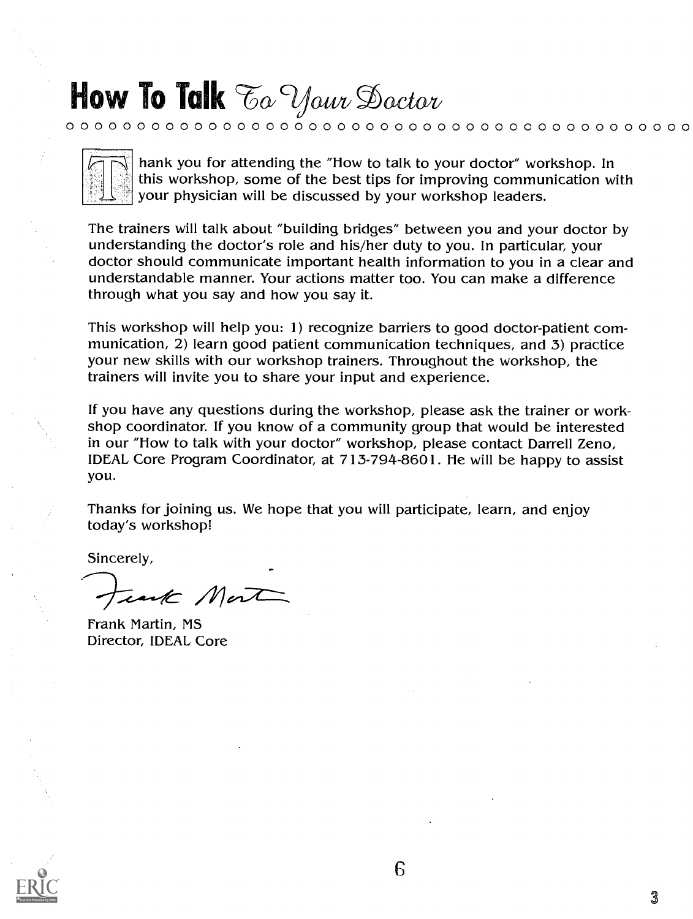### How To Talk To Your Doctor

0 0 0 0 0 0 0 0 0 0 0 0 0 0 0 0 0 0 0 0 0 0 0 0 0 0 0 0 0 0 0 0 0 0 0 0 0 0 0 0 0 0 0 0

hank you for attending the "How to talk to your doctor" workshop. In this workshop, some of the best tips for improving communication with your physician will be discussed by your workshop leaders.

The trainers will talk about "building bridges" between you and your doctor by understanding the doctor's role and his/her duty to you. In particular, your doctor should communicate important health information to you in a clear and understandable manner. Your actions matter too. You can make a difference through what you say and how you say it.

This workshop will help you: 1) recognize barriers to good doctor-patient communication, 2) learn good patient communication techniques, and 3) practice your new skills with our workshop trainers. Throughout the workshop, the trainers will invite you to share your input and experience.

If you have any questions during the workshop, please ask the trainer or workshop coordinator. If you know of a community group that would be interested in our "How to talk with your doctor" workshop, please contact Darrell Zeno, IDEAL Core Program Coordinator, at 713-794-8601. He will be happy to assist you.

Thanks for joining us. We hope that you will participate, learn, and enjoy today's workshop!

Sincerely,

unte Mont

Frank Martin, MS Director, IDEAL Core

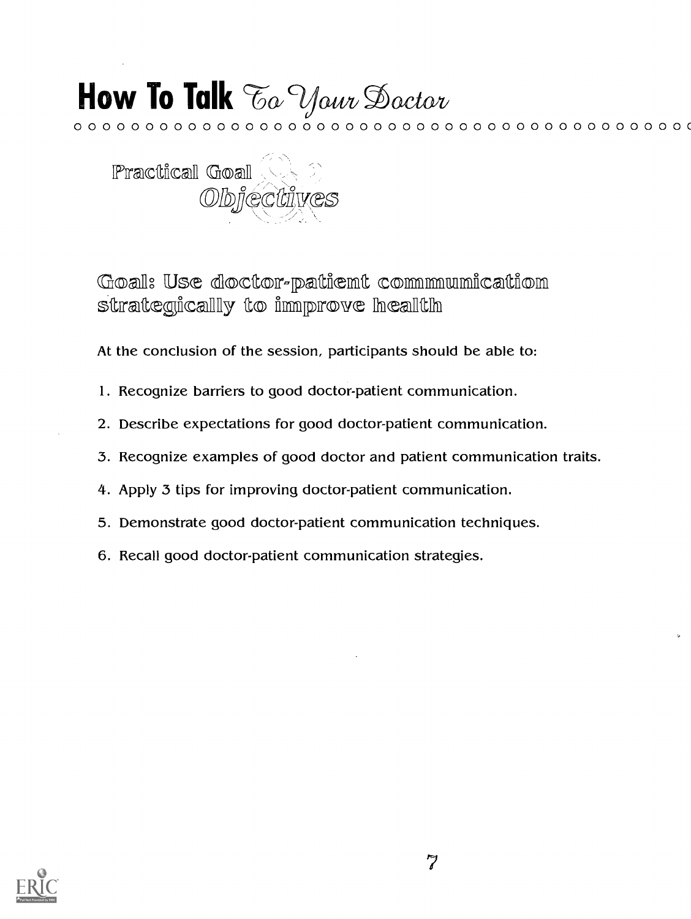# How To Talk To Your Doctor

 ${\color{red}\mathtt{0.0 \cdot 0.0 \cdot 0.0 \cdot 0.0 \cdot 0.0 \cdot 0.0 \cdot 0.0 \cdot 0.0 \cdot 0.0 \cdot 0.0 \cdot 0.0 \cdot 0.0 \cdot 0.0 \cdot 0.0 \cdot 0.0}}$ 



Goal: Use doctor-patient communication strategically to improve health

At the conclusion of the session, participants should be able to:

- 1. Recognize barriers to good doctor-patient communication.
- 2. Describe expectations for good doctor-patient communication.
- 3. Recognize examples of good doctor and patient communication traits.
- 4. Apply 3 tips for improving doctor-patient communication.
- 5. Demonstrate good doctor-patient communication techniques.
- 6. Recall good doctor-patient communication strategies.

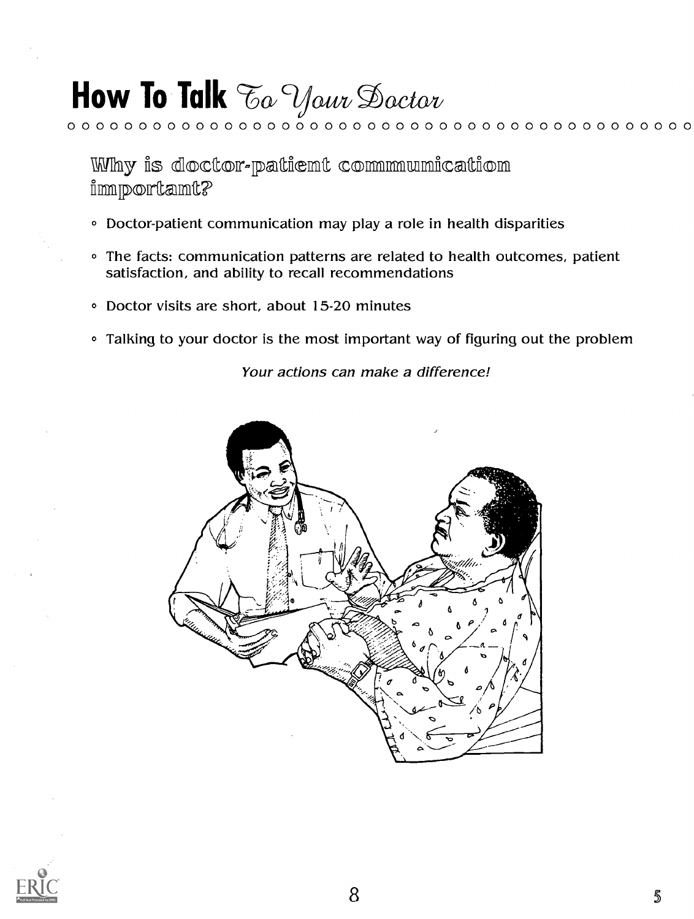Why is doctor-patient communication importamt?

- Doctor-patient communication may play a role in health disparities
- The facts: communication patterns are related to health outcomes, patient satisfaction, and ability to recall recommendations

0 0 0 0 0 0 0 0 0 0 0 0 0 0 0 0 0 0 0 0 0 0 0 0 0 0 0 0 0 0 0 0 0 0 0 0 0 0 0 0 0 0 0 0

- O Doctor visits are short, about 15-20 minutes
- Talking to your doctor is the most important way of figuring out the problem

Your actions can make a difference!



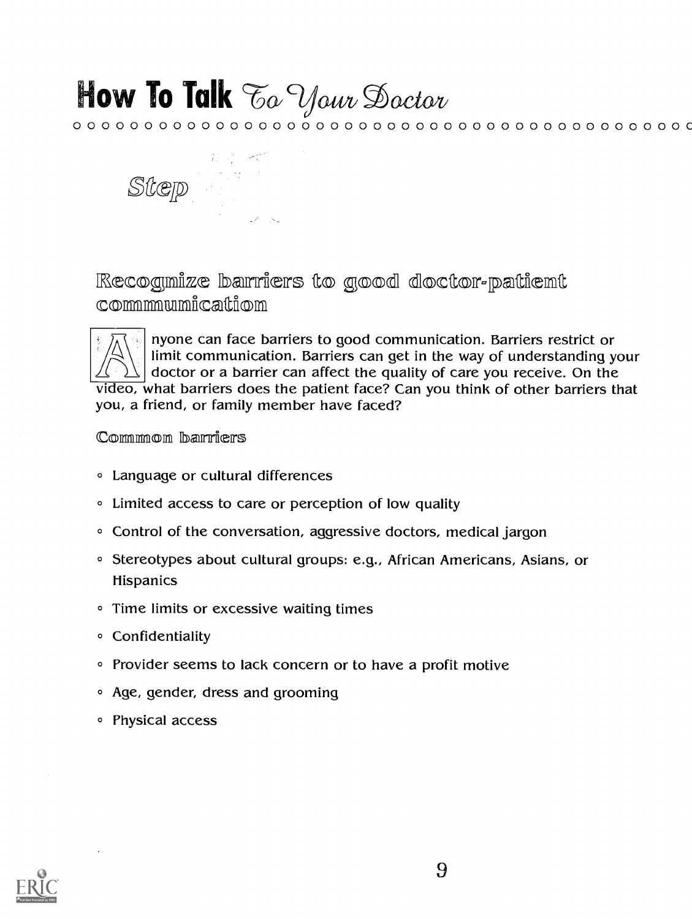カマーベ Step

Recognize barriers to good doctor-patient commmmumication



nyone can face barriers to good communication. Barriers restrict or limit communication. Barriers can get in the way of understanding your doctor or a barrier can affect the quality of care you receive. On the video, what barriers does the patient face? Can you think of other barriers that you, a friend, or family member have faced?

### Common barriers

- **Language or cultural differences**
- Limited access to care or perception of low quality
- Control of the conversation, aggressive doctors, medical jargon
- <sup>o</sup> Stereotypes about cultural groups: e.g., African Americans, Asians, or Hispanics
- Time limits or excessive waiting times
- Confidentiality
- Provider seems to lack concern or to have a profit motive
- Age, gender, dress and grooming
- Physical access

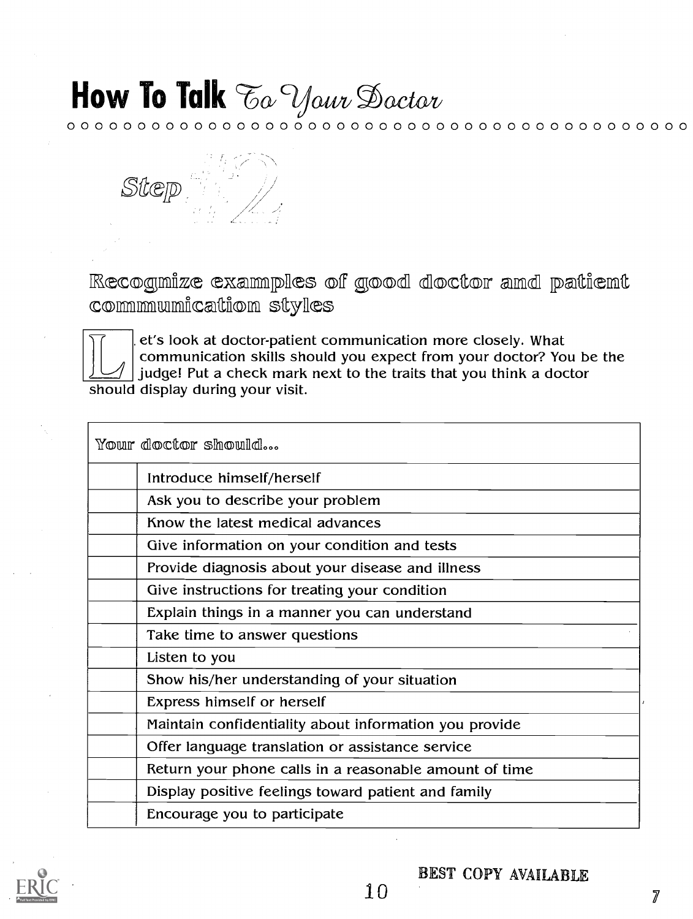0 0 0 0 0 0 0 0 0 0 0 0 0 0 0 0 0 0 0 0 0 0 0 0 0 0 0 0 0 0 0 0 0 0 0 0 0 0 0 0 0 0 0 0



Recognize examples of good doctor and patient commmumication styles



. et's look at doctor-patient communication more closely. What communication skills should you expect from your doctor? You be the judge! Put a check mark next to the traits that you think a doctor should display during your visit.

Your doctor should...

| Introduce himself/herself                              |
|--------------------------------------------------------|
| Ask you to describe your problem                       |
| Know the latest medical advances                       |
| Give information on your condition and tests           |
| Provide diagnosis about your disease and illness       |
| Give instructions for treating your condition          |
| Explain things in a manner you can understand          |
| Take time to answer questions                          |
| Listen to you                                          |
| Show his/her understanding of your situation           |
| <b>Express himself or herself</b>                      |
| Maintain confidentiality about information you provide |
| Offer language translation or assistance service       |
| Return your phone calls in a reasonable amount of time |
| Display positive feelings toward patient and family    |
| Encourage you to participate                           |
|                                                        |

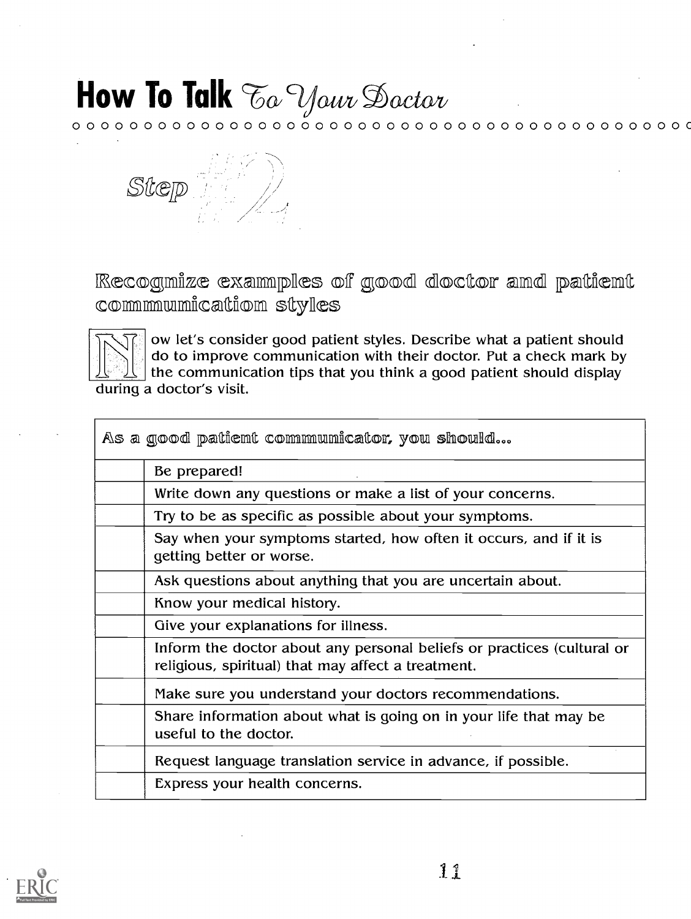# How To Talk To Your Doctor

 ${\color{red}\mathtt{0.0 \cdot 0.0 \cdot 0.0 \cdot 0.0 \cdot 0.0 \cdot 0.0 \cdot 0.0 \cdot 0.0 \cdot 0.0 \cdot 0.0 \cdot 0.0 \cdot 0.0 \cdot 0.0 \cdot 0.0 \cdot 0.0 \cdot 0.0 \cdot 0.0 \cdot 0.0 \cdot 0.0 \cdot 0.0 \cdot 0.0 \cdot 0.0 \cdot 0.0 \cdot 0.0 \cdot 0.0 \cdot 0.0 \cdot 0.0 \cdot 0.0 \cdot 0.0 \cdot 0.0 \cdot 0.0 \cdot 0.0 \cdot 0.0 \cdot 0.0 \cdot 0.0 \cdot 0.$ 



Recognize examples of good doctor and patient communication styles



ow let's consider good patient styles. Describe what a patient should do to improve communication with their doctor. Put a check mark by the communication tips that you think a good patient should display during a doctor's visit.

| As a good patient communicator, you should |                                                                                                                              |  |
|--------------------------------------------|------------------------------------------------------------------------------------------------------------------------------|--|
|                                            | Be prepared!                                                                                                                 |  |
|                                            | Write down any questions or make a list of your concerns.                                                                    |  |
|                                            | Try to be as specific as possible about your symptoms.                                                                       |  |
|                                            | Say when your symptoms started, how often it occurs, and if it is<br>getting better or worse.                                |  |
|                                            | Ask questions about anything that you are uncertain about.                                                                   |  |
|                                            | Know your medical history.                                                                                                   |  |
|                                            | Give your explanations for illness.                                                                                          |  |
|                                            | Inform the doctor about any personal beliefs or practices (cultural or<br>religious, spiritual) that may affect a treatment. |  |
|                                            | Make sure you understand your doctors recommendations.                                                                       |  |
|                                            | Share information about what is going on in your life that may be<br>useful to the doctor.                                   |  |
|                                            | Request language translation service in advance, if possible.                                                                |  |
|                                            | Express your health concerns.                                                                                                |  |

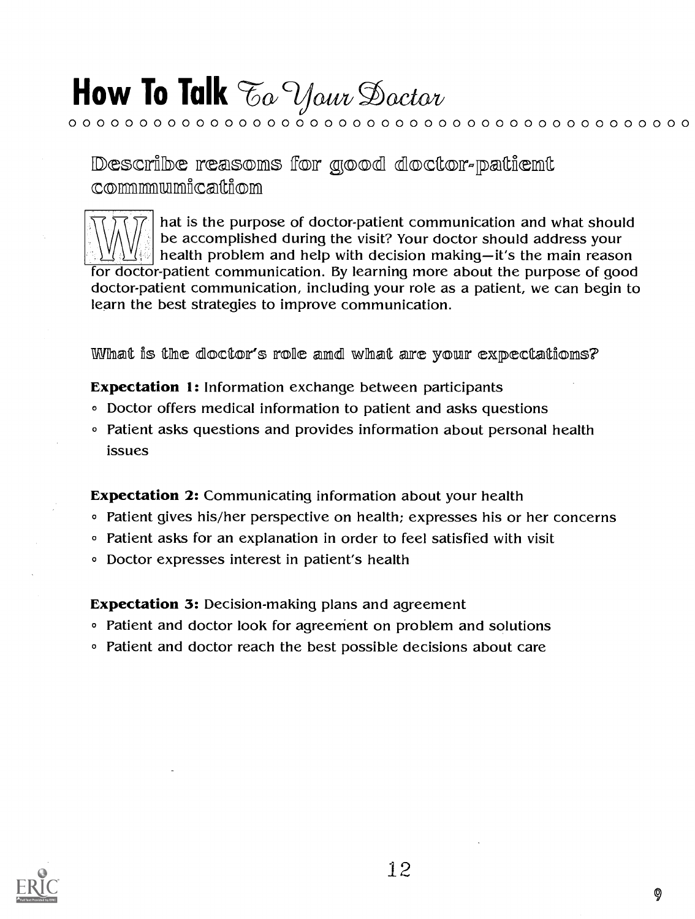# How To Talk  $\mathcal{F}o$  Your Doctor

Describe reasons for good doctor-patient commmmumicaltion

hat is the purpose of doctor-patient communication and what should be accomplished during the visit? Your doctor should address your health problem and help with decision making-it's the main reason for doctor-patient communication. By learning more about the purpose of good doctor-patient communication, including your role as a patient, we can begin to learn the best strategies to improve communication.

 ${\color{red} 0~\color{black}}\circ{\color{red} 0~\color{black}}\circ{\color{red} 0~\color{black}}\circ{\color{red} 0~\color{black}}\circ{\color{red} 0~\color{black}}\circ{\color{red} 0~\color{black}}\circ{\color{red} 0~\color{black}}\circ{\color{red} 0~\color{black}}\circ{\color{red} 0~\color{black}}\circ{\color{red} 0~\color{black}}\circ{\color{red} 0~\color{black}}\circ{\color{red} 0~\color{black}}\circ{\color{red} 0~\color{black}}\circ{\color{red} 0~\color{black}}\circ{\color{red} 0~\color$ 

What is the doctor's role and what are your expectations?

**Expectation 1:** Information exchange between participants

- Doctor offers medical information to patient and asks questions
- Patient asks questions and provides information about personal health issues

**Expectation 2:** Communicating information about your health

- Patient gives his/her perspective on health; expresses his or her concerns
- Patient asks for an explanation in order to feel satisfied with visit
- Doctor expresses interest in patient's health

**Expectation 3:** Decision-making plans and agreement

- Patient and doctor look for agreement on problem and solutions
- Patient and doctor reach the best possible decisions about care

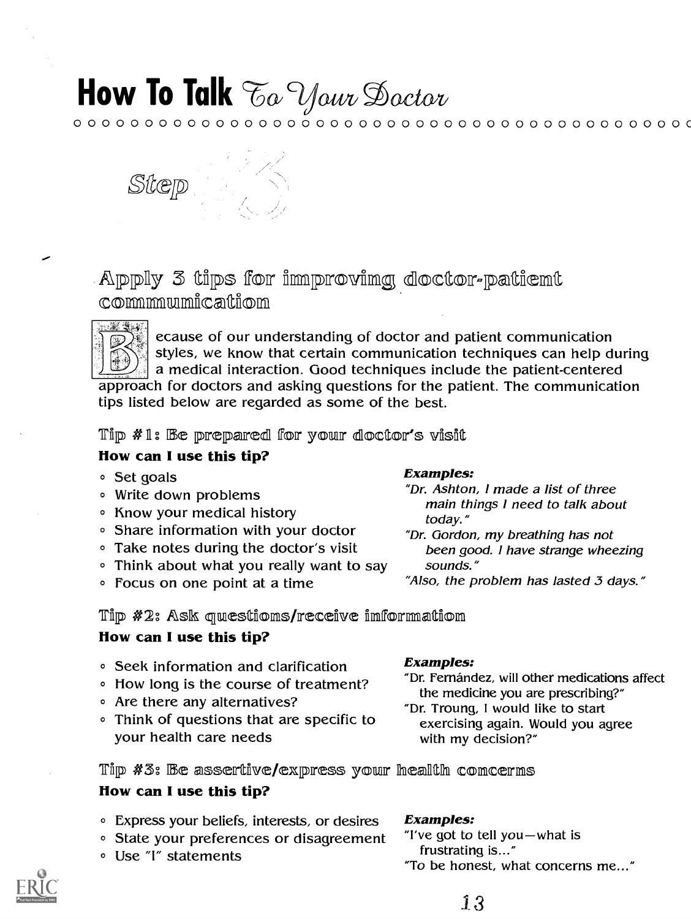${\color{red}\mathtt{0.0 \cdot 0.0 \cdot 0.0 \cdot 0.0 \cdot 0.0 \cdot 0.0 \cdot 0.0 \cdot 0.0 \cdot 0.0 \cdot 0.0 \cdot 0.0 \cdot 0.0 \cdot 0.0 \cdot 0.0 \cdot 0.0 \cdot 0.0 \cdot 0.0 \cdot 0.0 \cdot 0.0 \cdot 0.0 \cdot 0.0 \cdot 0.0 \cdot 0.0 \cdot 0.0 \cdot 0.0 \cdot 0.0 \cdot 0.0 \cdot 0.0 \cdot 0.0 \cdot 0.0 \cdot 0.0 \cdot 0.0 \cdot 0.0 \cdot 0.0 \cdot 0.0 \cdot 0.$ 



Apply 3 tips for improving doctor-patient communication



ecause of our understanding of doctor and patient communication styles, we know that certain communication techniques can help during a medical interaction. Good techniques include the patient-centered approach for doctors and asking questions for the patient. The communication tips listed below are regarded as some of the best.

Tip #1: Be prepared for your doctor's visit

### How can I use this tip?

- Set goals
- Write down problems
- Know your medical history
- Share information with your doctor
- Take notes during the doctor's visit
- Think about what you really want to say
- Focus on one point at a time

#### **Examples:**

- "Dr. Ashton, I made a list of three main things I need to talk about today."
- "Dr. Gordon, my breathing has not been good. I have strange wheezing sounds."
- "Also, the problem has lasted 3 days."

Tip #2: Ask questions/receive information

### How can I use this tip?

- Seek information and clarification
- How long is the course of treatment?
- Are there any alternatives?
- Think of questions that are specific to your health care needs

Tip #3: Be assertive/express your health concerns

### How can I use this tip?

- Express your beliefs, interests, or desires
- State your preferences or disagreement
- Use "I" statements

### **Examples:**

- "Dr. Fernández, will other medications affect the medicine you are prescribing?"
- "Dr. Troung, I would like to start exercising again. Would you agree with my decision?"

### **Examples:**

"I've got to tell you-what is frustrating is..." "To be honest, what concerns me..."

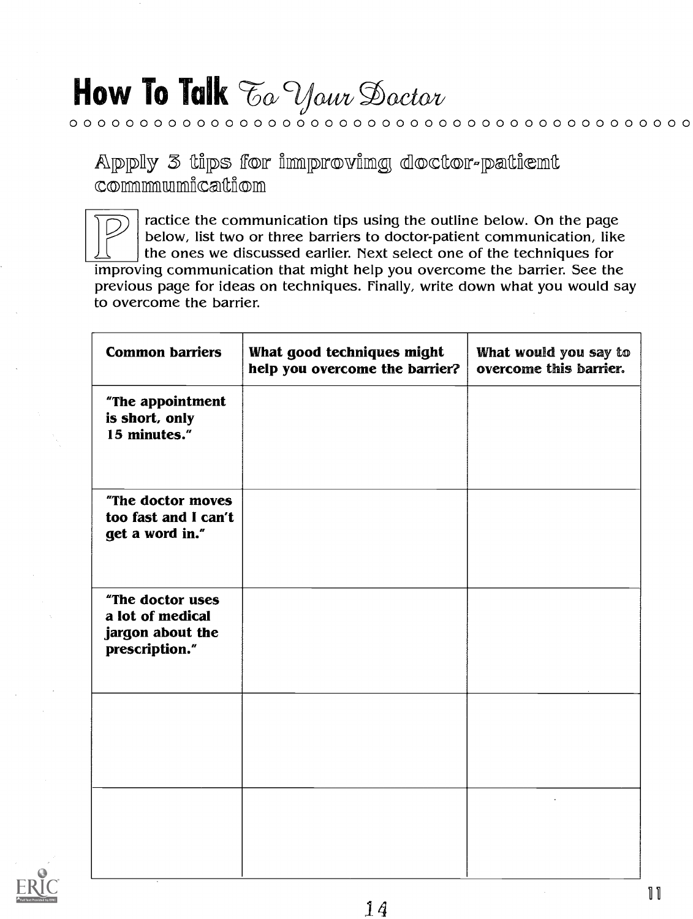Apply 3 tips for improving doctor-patient

 ${\color{blue}0.0~{\color{blue}0.0~{\color{blue}0.0~{\color{blue}0.0~{\color{blue}0.0~{\color{blue}0.0~{\color{blue}0.0~{\color{blue}0.0~{\color{blue}0.0~{\color{blue}0.0~{\color{blue}0.0~{\color{blue}0.0~{\color{blue}0.0~{\color{blue}0.0~{\color{blue}0.0~{\color{blue}0.0~{\color{blue}0.0~{\color{blue}0.0~{\color{blue}0.0~{\color{blue}0.0~{\color{blue}0.0~{\color{blue}0.0~{\color{blue}0.0~{\color{blue}0.0~{\color{blue$ 

commmmumicattion

ractice the communication tips using the outline below. On the page below, list two or three barriers to doctor-patient communication, like the ones we discussed earlier. Next select one of the techniques for improving communication that might help you overcome the barrier. See the previous page for ideas on techniques. Finally, write down what you would say to overcome the barrier.

| <b>Common barriers</b>                                                     | What good techniques might<br>help you overcome the barrier? | What would you say to<br>overcome this barrier. |
|----------------------------------------------------------------------------|--------------------------------------------------------------|-------------------------------------------------|
| "The appointment<br>is short, only<br>15 minutes."                         |                                                              |                                                 |
| "The doctor moves<br>too fast and I can't<br>get a word in."               |                                                              |                                                 |
| "The doctor uses<br>a lot of medical<br>jargon about the<br>prescription." |                                                              |                                                 |
|                                                                            |                                                              |                                                 |
|                                                                            |                                                              |                                                 |

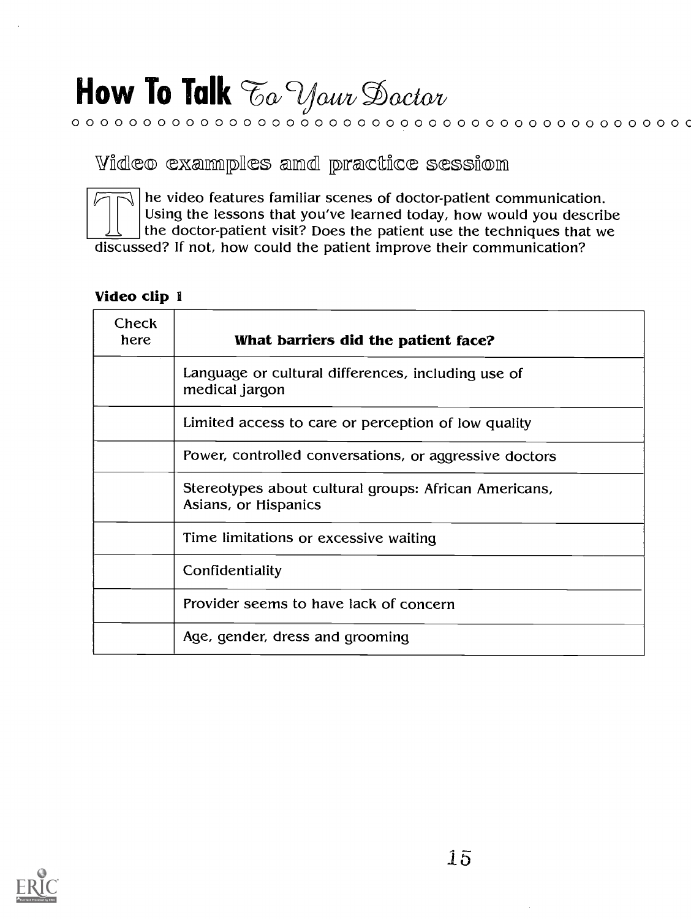# How To Talk To Your Doctor

Video examples amd practice sessiom

he video features familiar scenes of doctor-patient communication. Using the lessons that you've learned today, how would you describe the doctor-patient visit? Does the patient use the techniques that we discussed? If not, how could the patient improve their communication?

 ${\color{red}\mathtt{0.0 \cdot 0.0 \cdot 0.0 \cdot 0.0 \cdot 0.0 \cdot 0.0 \cdot 0.0 \cdot 0.0 \cdot 0.0 \cdot 0.0 \cdot 0.0 \cdot 0.0 \cdot 0.0 \cdot 0.0 \cdot 0.0}}$ 

### Video clip 1

| Check<br>here | What barriers did the patient face?                                           |
|---------------|-------------------------------------------------------------------------------|
|               | Language or cultural differences, including use of<br>medical jargon          |
|               | Limited access to care or perception of low quality                           |
|               | Power, controlled conversations, or aggressive doctors                        |
|               | Stereotypes about cultural groups: African Americans,<br>Asians, or Hispanics |
|               | Time limitations or excessive waiting                                         |
|               | Confidentiality                                                               |
|               | Provider seems to have lack of concern                                        |
|               | Age, gender, dress and grooming                                               |

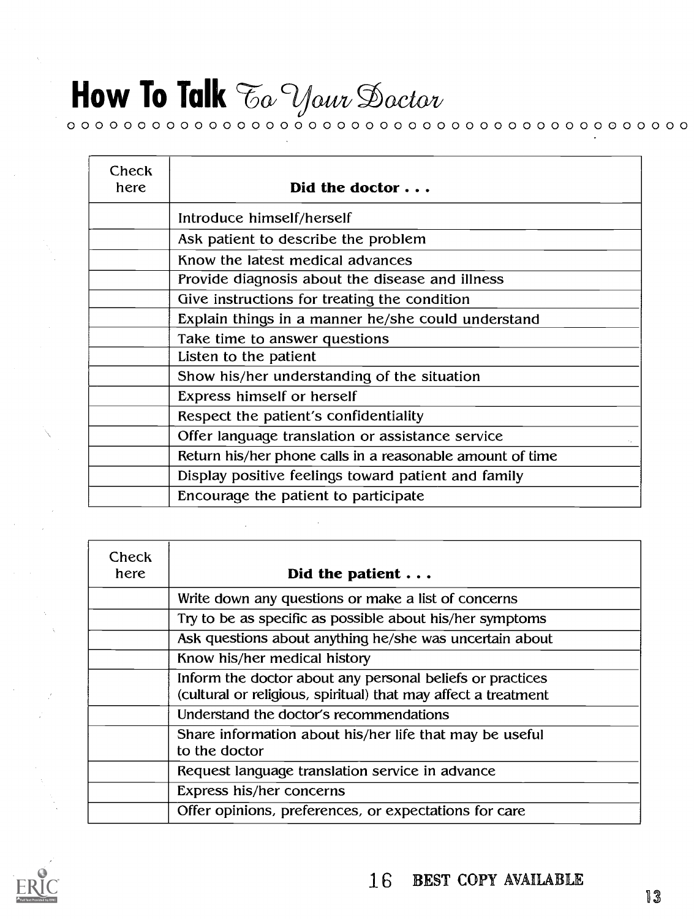### How To Talk  $\mathcal{F}_{\alpha}$  Your Doctor 0 0 0 0 0 0 0 0 0 0 0 0 0 ©0 0 0 0 0 0 0 0 0 0 0 0 0 0 0 0 0 0 0 0 0 0 0 0 0 0 0 0 0 0

| Check<br>here | Did the doctor $\ldots$                                   |
|---------------|-----------------------------------------------------------|
|               | Introduce himself/herself                                 |
|               | Ask patient to describe the problem                       |
|               | Know the latest medical advances                          |
|               | Provide diagnosis about the disease and illness           |
|               | Give instructions for treating the condition              |
|               | Explain things in a manner he/she could understand        |
|               | Take time to answer questions                             |
|               | Listen to the patient                                     |
|               | Show his/her understanding of the situation               |
|               | Express himself or herself                                |
|               | Respect the patient's confidentiality                     |
|               | Offer language translation or assistance service          |
|               | Return his/her phone calls in a reasonable amount of time |
|               | Display positive feelings toward patient and family       |
|               | Encourage the patient to participate                      |

| Check<br>here | Did the patient $\ldots$                                                                                                    |
|---------------|-----------------------------------------------------------------------------------------------------------------------------|
|               | Write down any questions or make a list of concerns                                                                         |
|               | Try to be as specific as possible about his/her symptoms                                                                    |
|               | Ask questions about anything he/she was uncertain about                                                                     |
|               | Know his/her medical history                                                                                                |
|               | Inform the doctor about any personal beliefs or practices<br>(cultural or religious, spiritual) that may affect a treatment |
|               | Understand the doctor's recommendations                                                                                     |
|               | Share information about his/her life that may be useful<br>to the doctor                                                    |
|               | Request language translation service in advance                                                                             |
|               | Express his/her concerns                                                                                                    |
|               | Offer opinions, preferences, or expectations for care                                                                       |

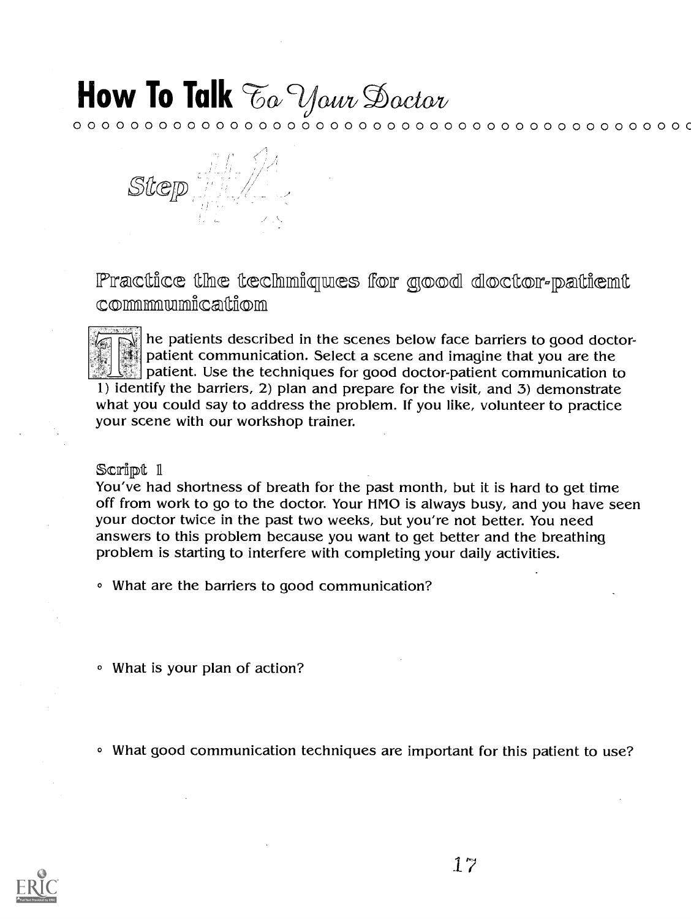${\color{red}\mathtt{0.0 \cdot 0.0 \cdot 0.0 \cdot 0.0 \cdot 0.0 \cdot 0.0 \cdot 0.0 \cdot 0.0 \cdot 0.0 \cdot 0.0 \cdot 0.0 \cdot 0.0 \cdot 0.0 \cdot 0.0 \cdot 0.0}}$ 



Practice the techniques for good doctor-patient commmmumication

he patients described in the scenes below face barriers to good doctorpatient communication. Select a scene and imagine that you are the patient. Use the techniques for good doctor-patient communication to 1) identify the barriers, 2) plan and prepare for the visit, and 3) demonstrate what you could say to address the problem. If you like, volunteer to practice your scene with our workshop trainer.

#### Script 1

You've had shortness of breath for the past month, but it is hard to get time off from work to go to the doctor. Your HMO is always busy, and you have seen your doctor twice in the past two weeks, but you're not better. You need answers to this problem because you want to get better and the breathing problem is starting to interfere with completing your daily activities.

- What are the barriers to good communication?
- What is your plan of action?
- <sup>o</sup> What good communication techniques are important for this patient to use?

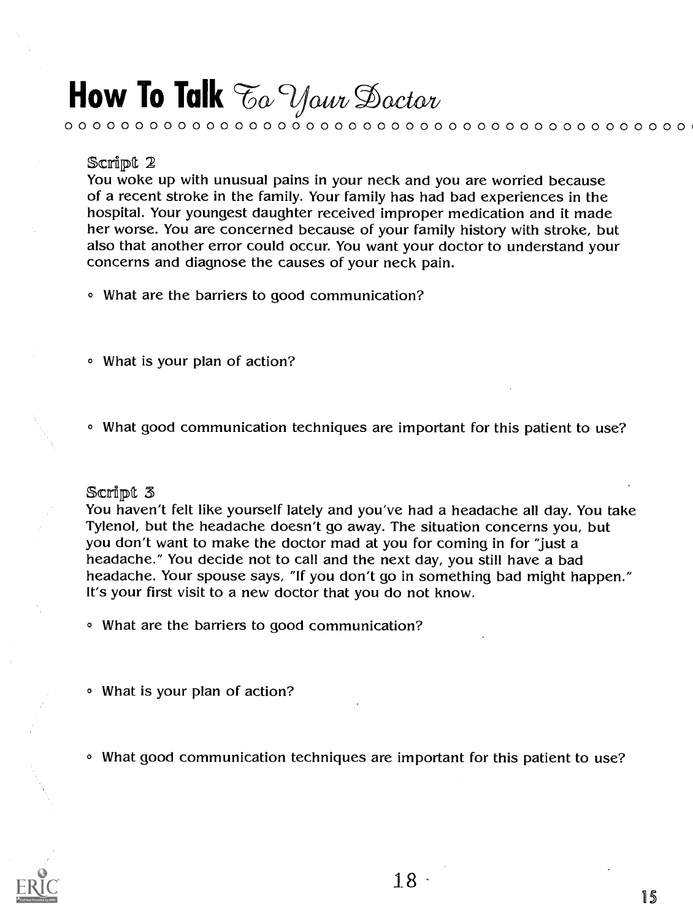#### Script 2

You woke up with unusual pains in your neck and you are worried because of a recent stroke in the family. Your family has had bad experiences in the hospital. Your youngest daughter received improper medication and it made her worse. You are concerned because of your family history with stroke, but also that another error could occur. You want your doctor to understand your concerns and diagnose the causes of your neck pain.

0 0 0 0 0 0 0 0 0 0 0 0 0 0 0 0 0 0 0 0 0 0 0 0 0 0 0 0 0 0 0 0 0 0 0 0 0 0 0 0 0 0 0 0

- What are the barriers to good communication?
- © What is your plan of action?
- o What good communication techniques are important for this patient to use?

#### Scrlipt 3

You haven't felt like yourself lately and you've had a headache all day. You take Tylenol, but the headache doesn't go away. The situation concerns you, but you don't want to make the doctor mad at you for coming in for "just a headache." You decide not to call and the next day, you still have a bad headache. Your spouse says, "If you don't go in something bad might happen." It's your first visit to a new doctor that you do not know.

- What are the barriers to good communication?
- © What is your plan of action?
- What good communication techniques are important for this patient to use?

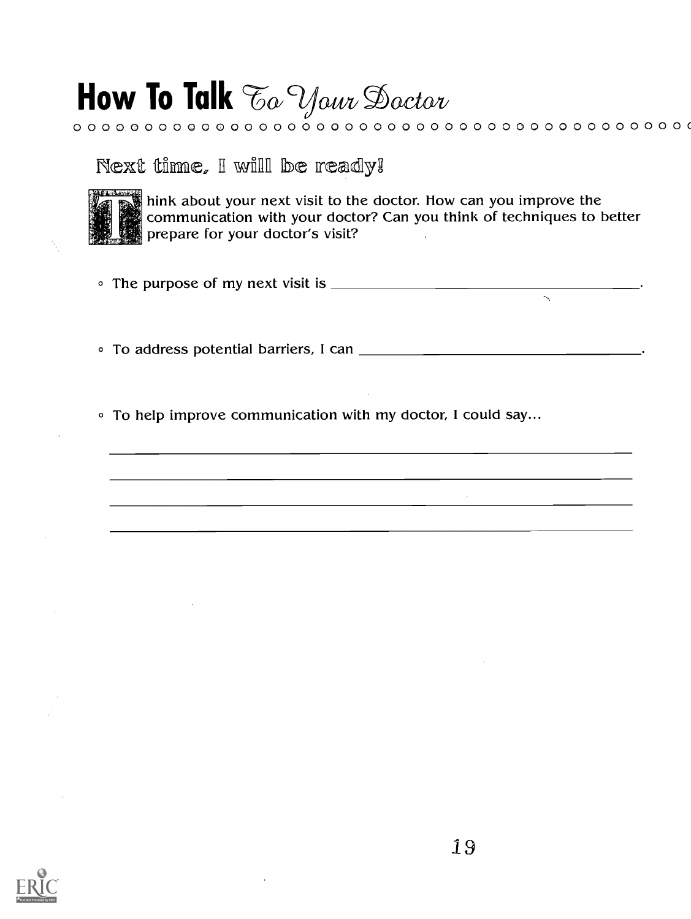# How To Talk To Your Doctor

Next time, I will be ready!



hink about your next visit to the doctor. How can you improve the<br>communication with your doctor? Can you think of techniques to better<br>prepare for your doctor's visit?

• To help improve communication with my doctor, I could say...

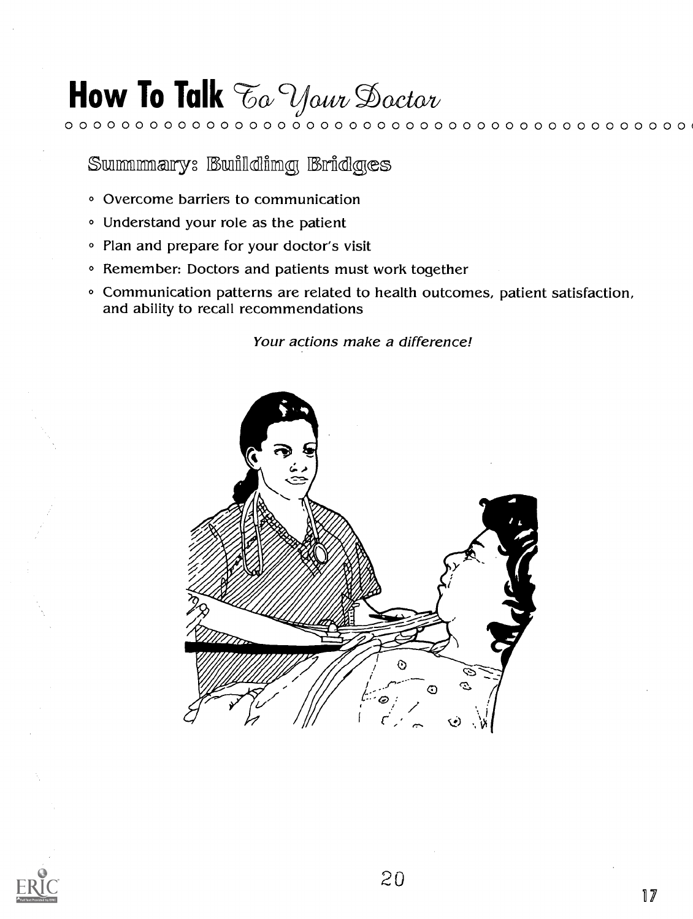0 0 0 0 0 0 0 0 0 0 0 0 0 0 0 0 0 0 0 0 0 0 0 0 0 0 0 0 0 0 0 0 0 0 0 0 0 0 0 0 0 0 0 0 (

Summmary: Building Bridges

- Overcome barriers to communication
- Understand your role as the patient
- Plan and prepare for your doctor's visit
- <sup>o</sup> Remember: Doctors and patients must work together
- Communication patterns are related to health outcomes, patient satisfaction, and ability to recall recommendations

Your actions make a difference!



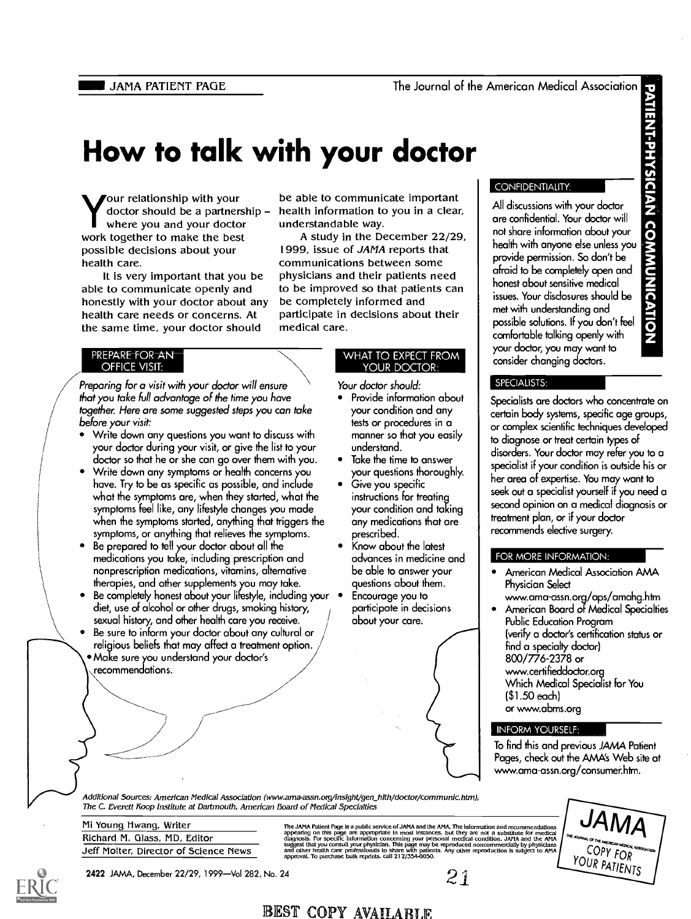JAMA PATIENT PAGE The Journal of the American Medical Association

### How to talk with your doctor

Your relationship with your doctor should be a partnership where you and your doctor work together to make the best possible decisions about your health care.

It is very important that you be able to communicate openly and honestly with your doctor about any health care needs or concerns. At the same time, your doctor should

#### PREPARE FOR AN **OFFICE VISIT:**

Preparing for a visit with your doctor will ensure that you take full advantage of the time you have together. Here are some suggested steps you can take before your visit:

- Write down any questions you want to discuss with your doctor during your visit, or give the list to your doctor so that he or she can go over them with you.
- Write down any symptoms or health concerns you have. Try to be as specific as possible, and include what the symptoms are, when they started, what the symptoms feel like, any lifestyle changes you made when the symptoms started, anything that triggers the symptoms, or anything that relieves the symptoms.
- Be prepared to tell your doctor about all the medications you take, including prescription and nonprescription medications, vitamins, alternative therapies, and other supplements you may take.
- Be completely honest about your lifestyle, including your  $\bullet$ diet, use of alcohol or other drugs, smoking history, sexual history, and other health care you receive.
- Be sure to inform your doctor about any cultural or religious beliefs that may affect a treatment option. Make sure you understand your doctor's recommendations.

be able to communicate important health information to you in a clear, understandable way.

A study in the December 22/29, 1999, issue of JAMA reports that communications between some physicians and their patients need to be improved so that patients can be completely informed and participate in decisions about their medical care.

#### WHAT TO EXPECT FROM YOUR DOCTOR:

Your doctor should:

- Provide information about your condition and any tests or procedures in a manner so that you easily understand.
- Take the time to answer your questions thoroughly.
- Give you specific instructions for treating your condition and taking any medications that are prescribed.
- Know about the latest advances in medicine and FOR MORE INFORMATION: be able to answer your questions about them.
- Encourage you to participate in decisions about your care.

#### **CONFIDENTIALITY:**

CONFIDENTIALITY:<br>All discussions with your doctor<br>are confidential. Your doctor will<br>not share information about your<br>health with anyone else unless you<br>provide permission. So don't be<br>diraid to be completely open and<br>hone are confidential. Your doctor will not share information about your health with anyone else unless you provide permission. So don't be afraid to be completely open and honest about sensitive medical issues. Your disclosures should be met with understanding and possible solutions. If you don't feel comfortable talking openly with your doctor, you may want to consider changing doctors.

#### SPECIALISTS:

Specialists are doctors who concentrate on certain body systems, specific age groups, or complex scientific techniques developed to diagnose or treat certain types of disorders. Your doctor may refer you to a specialist if your condition is outside his or her area of expertise. You may want to seek out a specialist yourself if you need a second opinion on a medical diagnosis or treatment plan, or if your doctor recommends elective surgery.

- American Medical Association AMA Physician Select
- www.ama-assn.org/aps/amahg.htm American Board of Medical Specialties
- Public Education Program (verify a doctor's certification status or find a specialty doctor) 800/776-2378 or www.certifieddoctonorg Which Medical Specialist for You (\$1.50 each) or www.abms.org

### INFORM YOURSELF:

To find this and previous JAMA Patient Pages, check out the AMA's Web site at www.ama-assn.org/consumerhtm.

Additional Sources: American Medical Association (www.ama-assn.org/insight/gen hlth/doctor/communic.htm), The C. Everett Koop Institute at Dartmouth, American Board of Medical Specialties

Mi Young Hwang, Writer Richard M. Glass, MD, Editor Jeff Molter, Director of Science News

The JAMA Patient Page is a public service of JAMA and the AMA. The information and recommendations<br>appearing on this page are appropriate in most instances, but they are not a substitute for medical<br>diagnosis. For specifi

21



2422 JAMA, December 22/29, 1999-Vol 282, No. 24

### BEST COPY AVAILABLE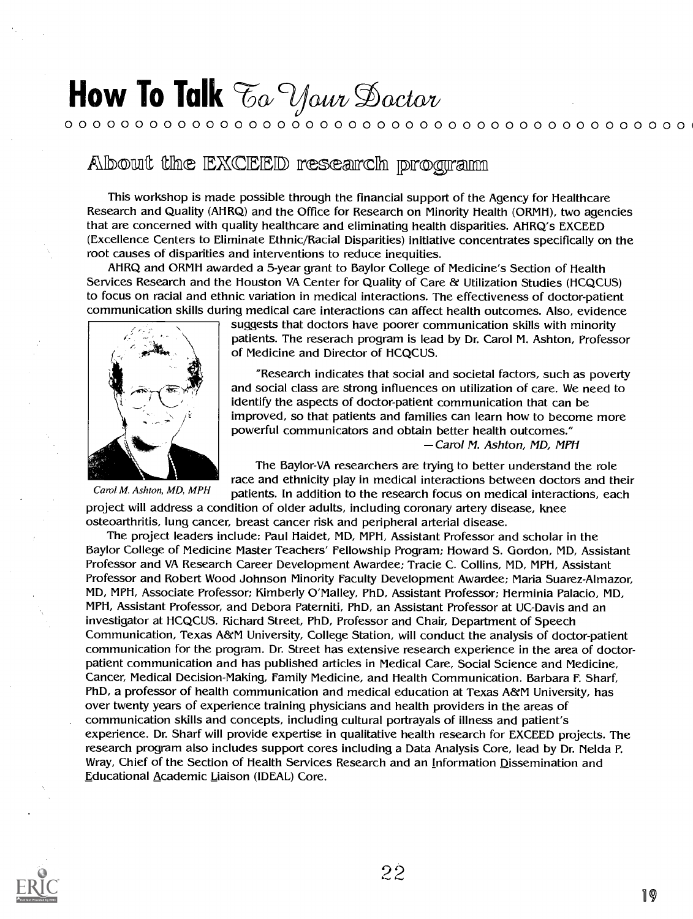### 0 0 0 0 0 0 0 0 0 0 0 0 0 0 0 0 0 0 0 0 0 0 0 0 0 0 0 0 0 0 0 0 0 0 0 0 0 0 0 0 0 0 0 0

### Albout the EXCEED research program

This workshop is made possible through the financial support of the Agency for Healthcare Research and Quality (AHRQ) and the Office for Research on Minority Health (ORMH), two agencies that are concerned with quality healthcare and eliminating health disparities. AHRQ's EXCEED (Excellence Centers to Eliminate Ethnic/Racial Disparities) initiative concentrates specifically on the root causes of disparities and interventions to reduce inequities.

AHRQ and ORMH awarded a 5-year grant to Baylor College of Medicine's Section of Health Services Research and the Houston VA Center for Quality of Care & Utilization Studies (HCQCUS) to focus on racial and ethnic variation in medical interactions. The effectiveness of doctor-patient communication skills during medical care interactions can affect health outcomes. Also, evidence



Carol M. Ashton, MD, MPH

suggests that doctors have poorer communication skills with minority patients. The reserach program is lead by Dr. Carol M. Ashton, Professor of Medicine and Director of HCQCUS.

"Research indicates that social and societal factors, such as poverty and social class are strong influences on utilization of care. We need to identify the aspects of doctor-patient communication that can be improved, so that patients and families can learn how to become more powerful communicators and obtain better health outcomes." -Carol M. Ashton, MD, MPH

The Baylor-VA researchers are trying to better understand the role race and ethnicity play in medical interactions between doctors and their patients. In addition to the research focus on medical interactions, each

project will address a condition of older adults, including coronary artery disease, knee osteoarthritis, lung cancer, breast cancer risk and peripheral arterial disease.

The project leaders include: Paul Haidet, MD, MPH, Assistant Professor and scholar in the Baylor College of Medicine Master Teachers' Fellowship Program; Howard S. Gordon, MD, Assistant Professor and VA Research Career Development Awardee; Tracie C. Collins, MD, MPH, Assistant Professor and Robert Wood Johnson Minority Faculty Development Awardee; Maria Suarez-Almazor, MD, MPH, Associate Professor; Kimberly O'Malley, PhD, Assistant Professor; Herminia Palacio, MD, MPH, Assistant Professor, and Debora Paterniti, PhD, an Assistant Professor at UC-Davis and an investigator at HCQCUS. Richard Street, PhD, Professor and Chair, Department of Speech Communication, Texas A&M University, College Station, will conduct the analysis of doctor-patient communication for the program. Dr. Street has extensive research experience in the area of doctorpatient communication and has published articles in Medical Care, Social Science and Medicine, Cancer, Medical Decision-Making, Family Medicine, and Health Communication. Barbara F. Sharf, PhD, a professor of health communication and medical education at Texas A&M University, has over twenty years of experience training physicians and health providers in the areas of communication skills and concepts, including cultural portrayals of illness and patient's experience. Dr. Sharf will provide expertise in qualitative health research for EXCEED projects. The research program also includes support cores including a Data Analysis Core, lead by Dr. Nelda P. Wray, Chief of the Section of Health Services Research and an Information Dissemination and Educational Academic Liaison (IDEAL) Core.

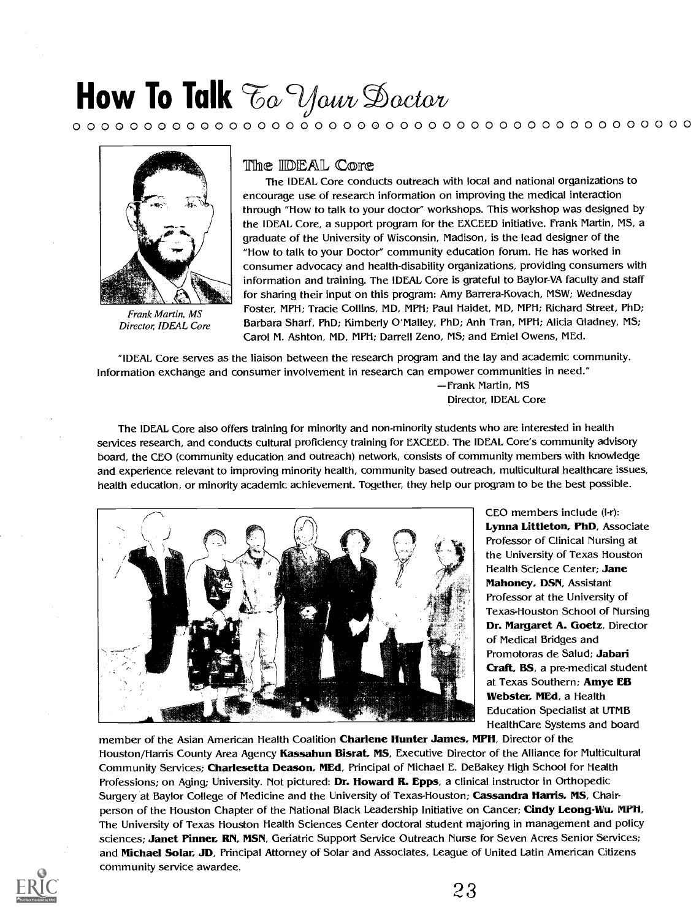0 0 0 0 0 0 0 0 0 0 0 0 0 0 0 0 0 0 0 0 0 0 0 0 0 0 0 0 0 0 0 0 0 0 0 0 0 0 0 0 0 0 0 0



Frank Martin, MS Director, IDEAL Core

#### The **IIDEAL** Core

The IDEAL Core conducts outreach with local and national organizations to encourage use of research information on improving the medical interaction through "How to talk to your doctor" workshops. This workshop was designed by the IDEAL Core, a support program for the EXCEED initiative. Frank Martin, MS, a graduate of the University of Wisconsin, Madison, is the lead designer of the "How to talk to your Doctor" community education forum. lie has worked in consumer advocacy and health-disability organizations, providing consumers with information and training. The IDEAL Core is grateful to Baylor-VA faculty and staff for sharing their input on this program: Amy Barrera-Kovach, MSW; Wednesday Foster, MPH; Tracie Collins, MD, MPH; Paul Haidet, MD, MPH; Richard Street, PhD; Barbara Sharf, PhD; Kimberly O'Malley, PhD; Anh Tran, MPH; Alicia Gladney, MS; Carol M. Ashton, MD, MPH; Darrell Zeno, MS; and Emiel Owens, MEd.

"IDEAL Core serves as the liaison between the research program and the lay and academic community. Information exchange and consumer involvement in research can empower communities in need."

> -Frank Martin, MS Director, IDEAL Core

The IDEAL Core also offers training for minority and non-minority students who are interested in health services research, and conducts cultural proficiency training for EXCEED. The IDEAL Core's community advisory board, the CEO (community education and outreach) network, consists of community members with knowledge and experience relevant to improving minority health, community based outreach, multicultural healthcare issues, health education, or minority academic achievement. Together, they help our program to be the best possible.



CEO members include (I-r): Lynna Littleton, PhD, Associate Professor of Clinical Nursing at the University of Texas Houston Health Science Center; Jane Mahoney, DSN, Assistant Professor at the University of Texas-Houston School of Nursing Dr. Margaret A. Goetz, Director of Medical Bridges and Promotoras de Salud; Jabari Craft, BS, a pre-medical student at Texas Southern; Amye EB Webster, MEd, a Health Education Specialist at UTMB Health Care Systems and board

member of the Asian American Health Coalition Charlene Hunter James, MPH, Director of the Houston/Harris County Area Agency Kassahun Bisrat, MS, Executive Director of the Alliance for Multicultural Community Services; Charlesetta Deason, MEd, Principal of Michael E. DeBakey High School for Health Professions; on Aging; University. Not pictured: Dr. Howard R. Epps, a clinical instructor in Orthopedic Surgery at Baylor College of Medicine and the University of Texas-Houston; Cassandra Harris, MS, Chairperson of the Houston Chapter of the National Black Leadership Initiative on Cancer; Cindy Leong-Wu, MPH, The University of Texas Houston Health Sciences Center doctoral student majoring in management and policy sciences; Janet Pinner, RN, MSN, Geriatric Support Service Outreach Nurse for Seven Acres Senior Services; and Michael Solar, JD, Principal Attorney of Solar and Associates, League of United Latin American Citizens community service awardee.

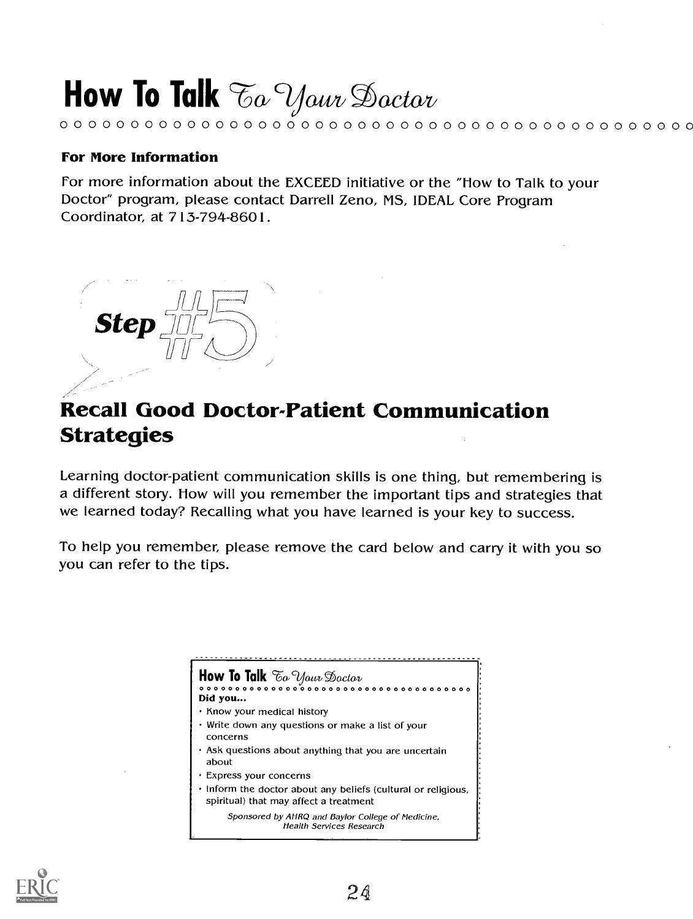# How To Talk  $\mathcal{T}_{\alpha}$   $\mathcal{Y}_{\alpha \nu \nu}$  Dactor

### For More Information

For more information about the EXCEED initiative or the "Flow to Talk to your Doctor" program, please contact Darrell Zeno, MS, IDEAL Core Program Coordinator, at 713-794-8601.

0 0 0 0 0 0 0 0 0 0 0 0 0 0 0 0 0 0 0 0 0 0 0 0 0 0 0 0 0 0 0 0 0 0 0 0 0 0 0 0 0 0 0 0 0



### Recall Good Doctor-Patient Communication Strategies

Learning doctor-patient communication skills is one thing, but remembering is a different story. How will you remember the important tips and strategies that we learned today? Recalling what you have learned is your key to success.

To help you remember, please remove the card below and carry it with you so you can refer to the tips.

> How To Talk  $\mathcal{F}_{\alpha}$  your Doctor 0 0 0 0 0 0 0 0 0 0 0 0 0 0 0 0 0 0 0 0 0 0 0 0 0 0 0 0 0 0 0 0 0 0 0 0 0 0 Did you... · Know your medical history Write down any questions or make a list of your concerns Ask questions about anything that you are uncertain about Express your concerns  $\cdot$  Inform the doctor about any beliefs (cultural or religious, spiritual) that may affect a treatment Sponsored by AHRQ and Baylor College of Medicine, Health Services Research

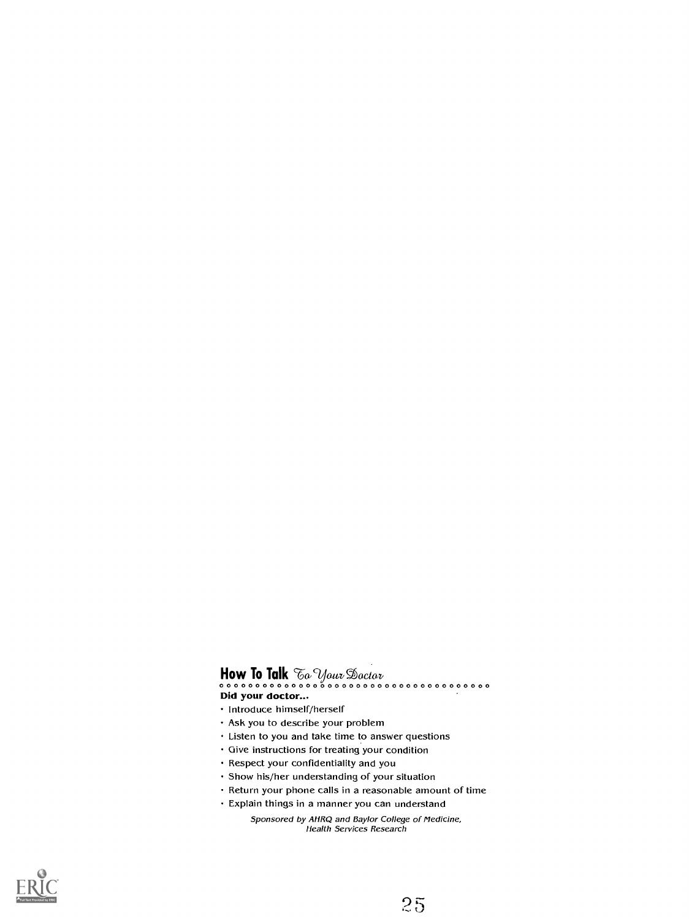How To Talk 9;: 9A-data/ oda?. (A 0 0 0 0 0 0 0 0 0 0 0 0 0 0 0 0 0 0 0 0 0 0 0 0 0 0 0 0 0 0 0 0 0 0 0 0 0 0 Did your doctor...

- · Introduce himself/herself
- Ask you to describe your problem
- Listen to you and take time to answer questions
- Give instructions for treating your condition
- Respect your confidentiality and you
- Show his/her understanding of your situation
- Return your phone calls in a reasonable amount of time
- Explain things in a manner you can understand
	- Sponsored by AHRQ and Baylor College of Medicine, Health Services Research

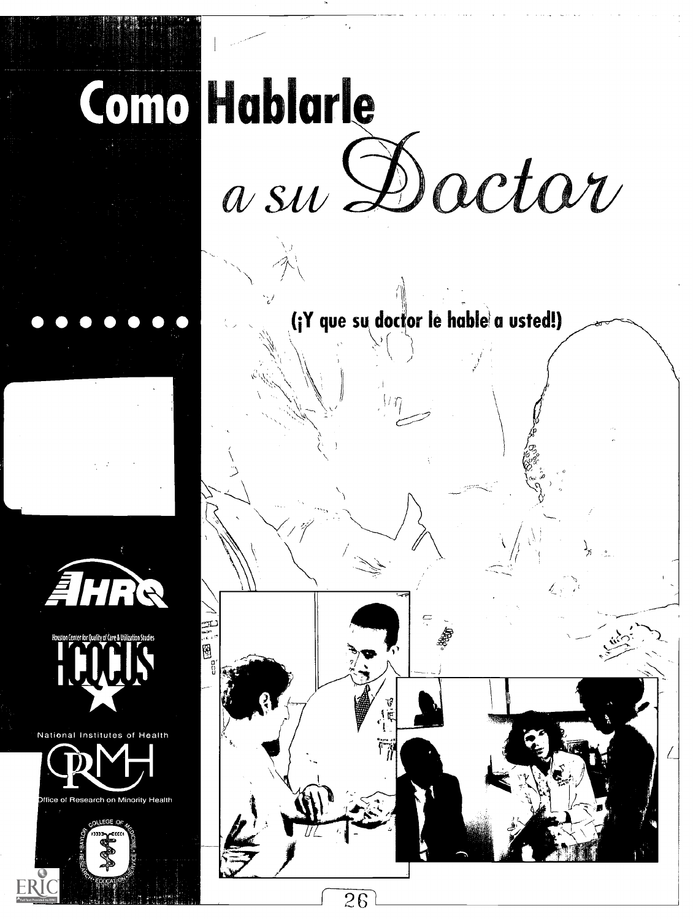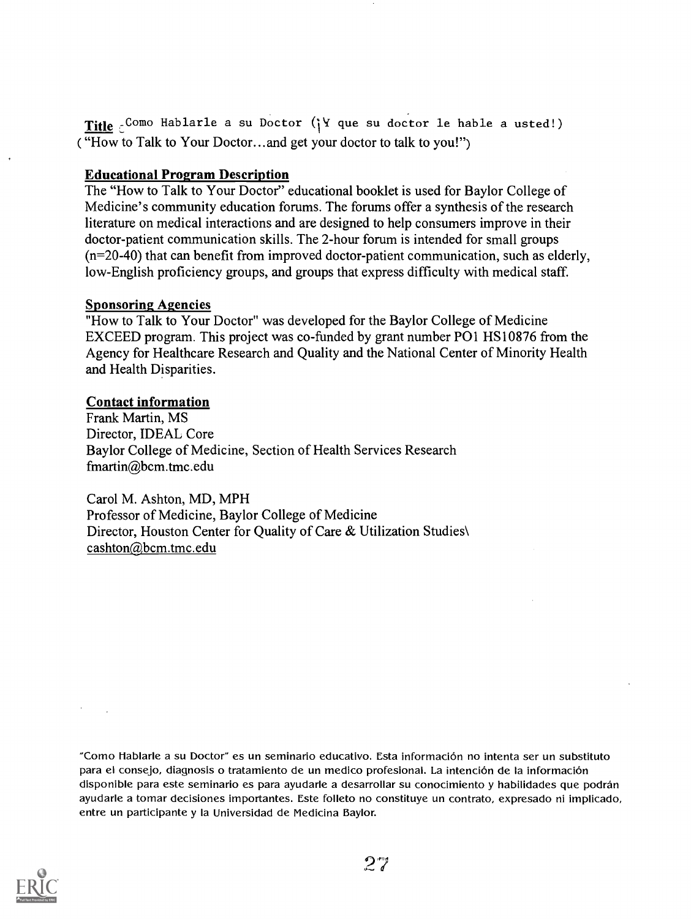Title : Como Hablarle a su Doctor ( $Y$  que su doctor le hable a usted!) ( "How to Talk to Your Doctor...and get your doctor to talk to you!")

### Educational Program Description

The "How to Talk to Your Doctor" educational booklet is used for Baylor College of Medicine's community education forums. The forums offer a synthesis of the research literature on medical interactions and are designed to help consumers improve in their doctor-patient communication skills. The 2-hour forum is intended for small groups (n=20-40) that can benefit from improved doctor-patient communication, such as elderly, low-English proficiency groups, and groups that express difficulty with medical staff.

### Sponsoring Agencies

"How to Talk to Your Doctor" was developed for the Baylor College of Medicine EXCEED program. This project was co-funded by grant number P01 HS10876 from the Agency for Healthcare Research and Quality and the National Center of Minority Health and Health Disparities.

### Contact information

Frank Martin, MS Director, IDEAL Core Baylor College of Medicine, Section of Health Services Research fmartin@bcm.tmc.edu

Carol M. Ashton, MD, MPH Professor of Medicine, Baylor College of Medicine Director, Houston Center for Quality of Care & Utilization Studies\ cashton@bcm.tmc.edu

"Como Hablarle a su Doctor" es un seminario educativo. Esta informacion no intenta ser un substituto para el consejo, diagnosis o tratamiento de un medico profesional. La intención de la información disponible para este seminario es para ayudarle a desarrollar su conocimiento y habilidades que podran ayudarle a tomar decisiones importantes. Este folleto no constituye un contrato, expresado ni implicado, entre un participante y Ia Universidad de Medicina Baylor.

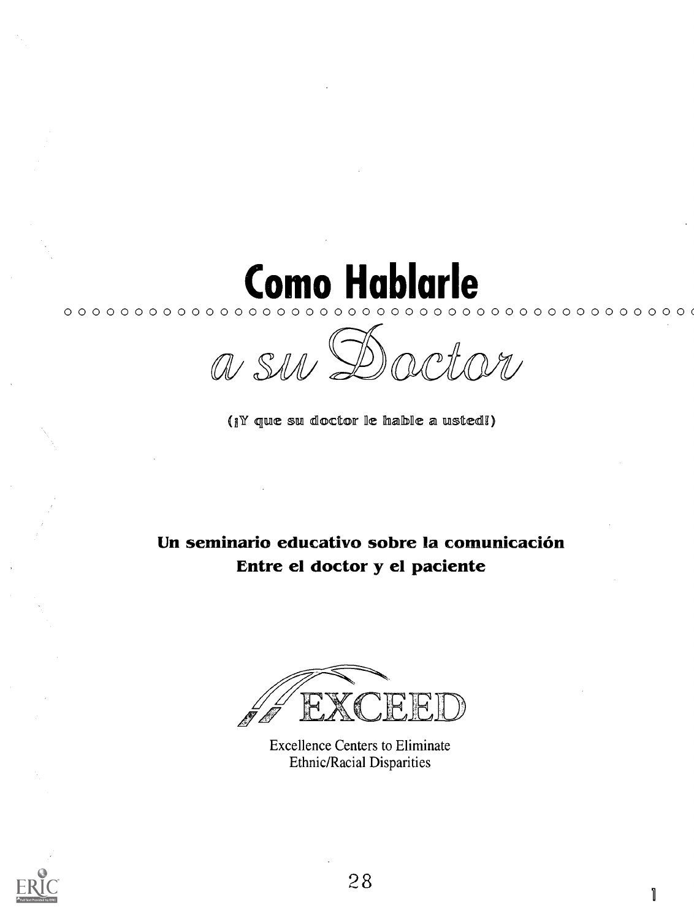

(¡Y que su doctor le hable a usted!)

Un seminario educativo sobre la comunicación Entre el doctor y el paciente

**Excellence Centers to Eliminate Ethnic/Racial Disparities** 



1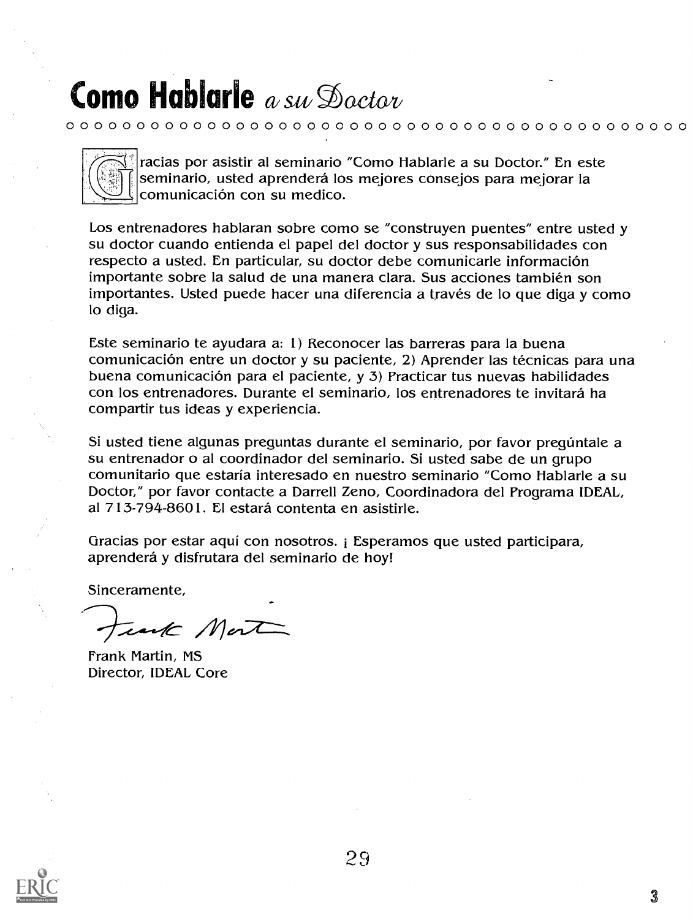0 0 0 0 0 0 0 0 0 0 0 0 0 ©0 0 0 0 0 0 0 0 0 0 0 0 0 0 0 0 0 0 0 0 0 0 0 0 0 0 0 0 0 0



racias por asistir al seminario "Como Hablarle a su Doctor." En este seminario, usted aprenderá los mejores consejos para mejorar la comunicaci6n con su medico.

Los entrenadores hablaran sobre como se "construyen puentes" entre usted y su doctor cuando entienda el papel del doctor y sus responsabilidades con respecto a usted. En particular, su doctor debe comunicarle información importante sobre la salud de una manera clara. Sus acciones también son importantes. Usted puede hacer una diferencia a través de lo que diga y como lo diga.

Este seminario te ayudara a: 1) Reconocer las barreras para la buena comunicación entre un doctor y su paciente, 2) Aprender las técnicas para una buena comunicacion para el paciente, y 3) Practicar tus nuevas habilidades con los entrenadores. Durante el seminario, los entrenadores te invitará ha compartir tus ideas y experiencia.

Si usted tiene algunas preguntas durante el seminario, por favor pregúntale a su entrenador o al coordinador del seminario. Si usted sabe de un grupo comunitario que estaria interesado en nuestro seminario "Como Hablarle a su Doctor," por favor contacte a Darrell Zeno, Coordinadora del Programa IDEAL, al 713-794-8601. El estará contenta en asistirle.

Gracias por estar aqui con nosotros. i Esperamos que usted participara, aprenderá y disfrutara del seminario de hoy!

Sinceramente,

unk Mont

Frank Martin, MS Director, IDEAL Core

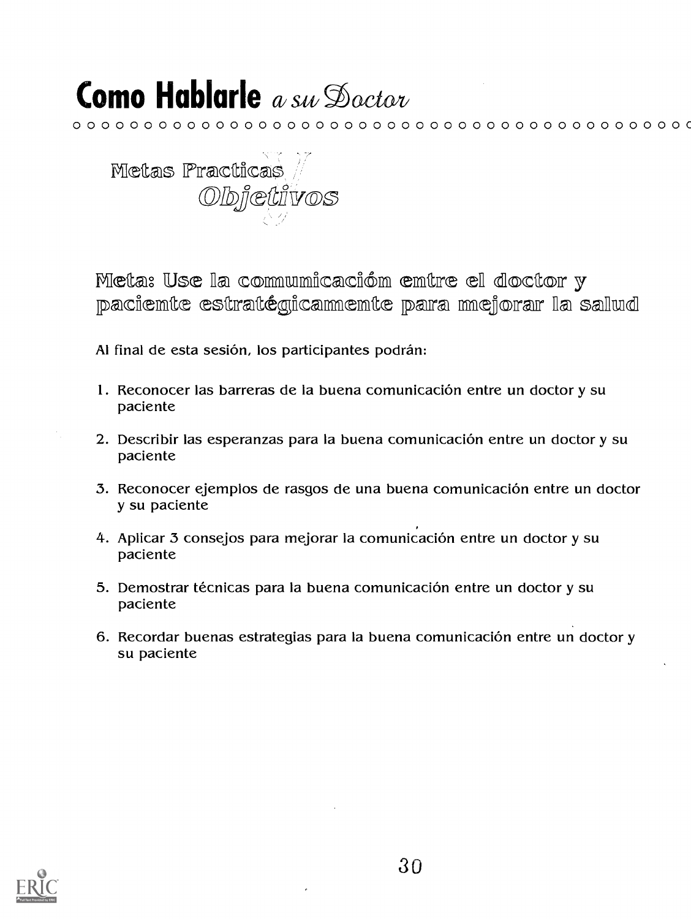${\color{red}\mathtt{0}}\circ{\color{red}\mathtt{0}}\circ{\color{red}\mathtt{0}}\circ{\color{red}\mathtt{0}}\circ{\color{red}\mathtt{0}}\circ{\color{red}\mathtt{0}}\circ{\color{red}\mathtt{0}}\circ{\color{red}\mathtt{0}}\circ{\color{red}\mathtt{0}}\circ{\color{red}\mathtt{0}}\circ{\color{red}\mathtt{0}}\circ{\color{red}\mathtt{0}}\circ{\color{red}\mathtt{0}}\circ{\color{red}\mathtt{0}}\circ{\color{red}\mathtt{0}}\circ{\color{red}\mathtt{0}}\circ{\color{red}\mathtt{0}}\circ{\color{red}\mathtt{0}}\circ{\color{red$ 



Meta: Use la communicación entre el doctor y paciemte estratégicammemte para mejorar la salud

Al final de esta sesión, los participantes podrán:

- 1. Reconocer las barreras de la buena comunicación entre un doctor y su paciente
- 2. Describir las esperanzas para la buena comunicación entre un doctor y su paciente
- 3. Reconocer ejemplos de rasgos de una buena comunicación entre un doctor y su paciente
- 4. Aplicar 3 consejos para mejorar la comunicación entre un doctor y su paciente
- 5. Demostrar técnicas para la buena comunicación entre un doctor y su paciente
- 6. Recordar buenas estrategias para la buena comunicación entre un doctor y su paciente

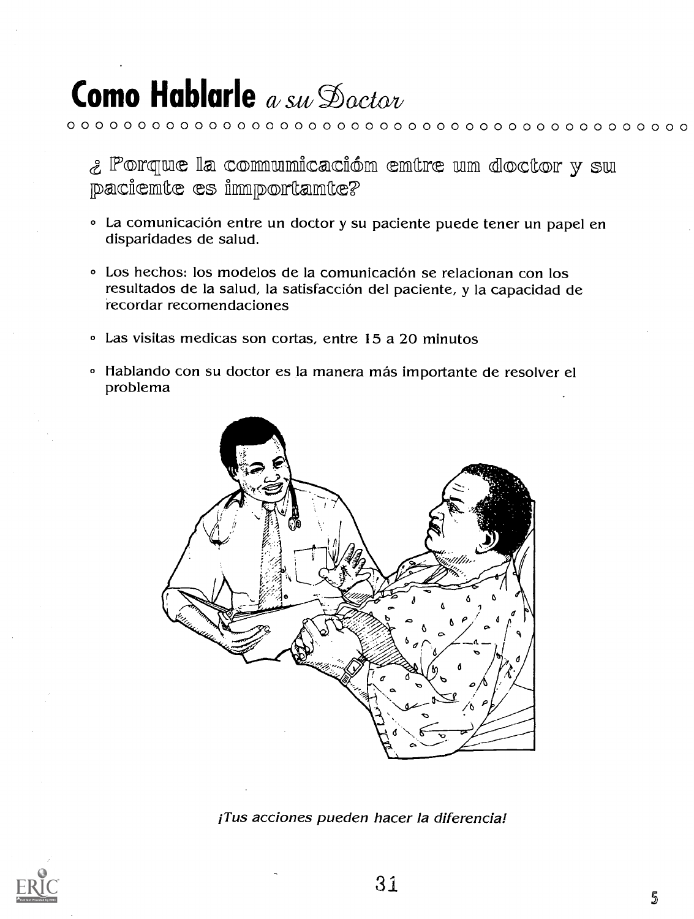¿ Porque la communicación entre un doctor y su paciemte es importamte?

 ${\color{red} 0} {\color{red} 0} {\color{red} 0} {\color{red} 0} {\color{red} 0} {\color{red} 0} {\color{red} 0} {\color{red} 0} {\color{red} 0} {\color{red} 0} {\color{red} 0} {\color{red} 0} {\color{red} 0} {\color{red} 0} {\color{red} 0} {\color{red} 0} {\color{red} 0} {\color{red} 0} {\color{red} 0} {\color{red} 0} {\color{red} 0} {\color{red} 0} {\color{red} 0} {\color{red} 0} {\color{red} 0} {\color{red} 0} {\color{red} 0} {\color{red$ 

- · La comunicación entre un doctor y su paciente puede tener un papel en disparidades de salud.
- Los hechos: los modelos de la comunicación se relacionan con los resultados de la salud, la satisfacción del paciente, y la capacidad de recordar recomendaciones
- Las visitas medicas son cortas, entre 15 a 20 minutos
- « Hablando con su doctor es la manera más importante de resolver el problema



¡Tus acciones pueden hacer la diferencia!



5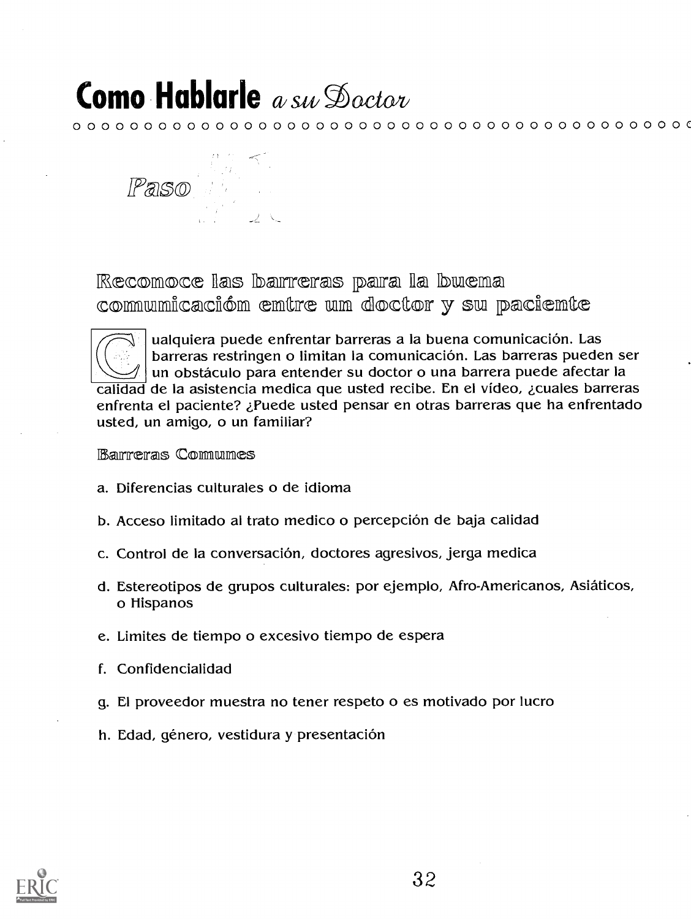0 0 0 0 0 0 0 0 0 0 0 0 0 0 0 0 0 0 0 0 0 0 0 0 0 0 0 0 0 0 0 0 0 0 0 0 0 0 0 0 0 0 0 C



Recomoce las barreras para la buema commumicacióm emtre um doctor y su paciemte



ualquiera puede enfrentar barreras a la buena comunicación. Las barreras restringen o limitan la comunicacion. Las barreras pueden ser un obstáculo para entender su doctor o una barrera puede afectar la calidad de la asistencia medica que usted recibe. En el video, zcuales barreras enfrenta el paciente? zFuede usted pensar en otras barreras que ha enfrentado usted, un amigo, o un familiar?

### Barreras Comunes

- a. Diferencias culturales o de idioma
- b. Acceso limitado al trato medico o percepcion de baja calidad
- c. Control de la conversacion, doctores agresivos, jerga medica
- d. Estereotipos de grupos culturales: por ejemplo, Afro-Americanos, Asiaticos, o Hispanos
- e. Limites de tiempo o excesivo tiempo de espera
- f. Confidencialidad
- g. El proveedor muestra no tener respeto o es motivado por lucro
- h. Edad, género, vestidura y presentación

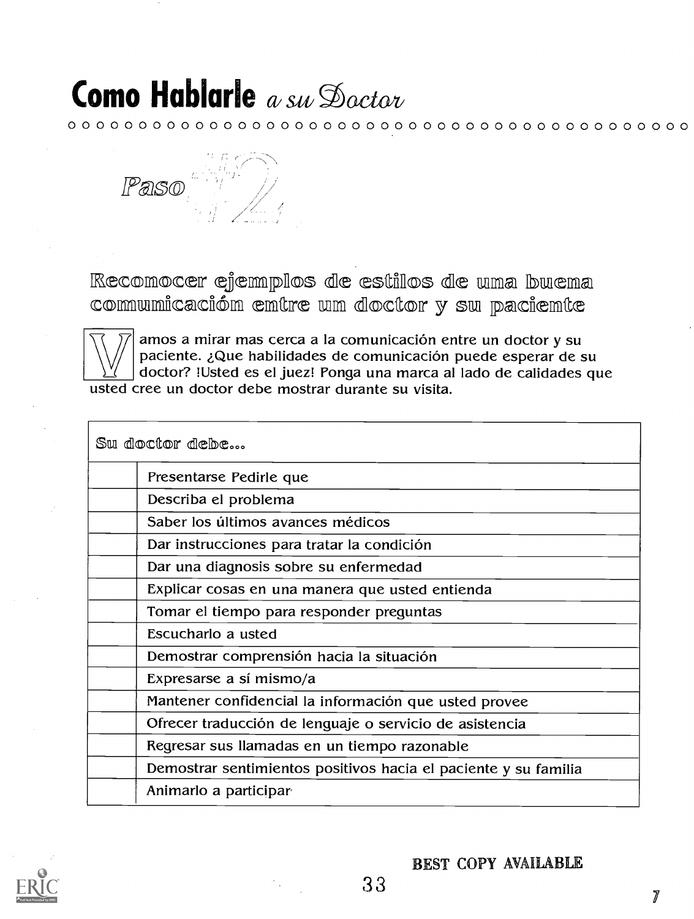0 0 0 0 0 0 0 0 0 0 0 0 0 0 0 0 0 0 0 0 0 0 0.0 0 0 0 0 0 0 0 0 0 0 0 0 0 0 0 0 0 0 0 0



Recomocer ejemplos de estillos de uma buema comumicación emtre um doctor y su paciemte



W | paciente. ¿Que nabilidades de comunicación puede esperar de su<br>\\/ doctor? !Usted es el juez! Ponga una marca al lado de calidades que amos a mirar mas cerca a la comunicación entre un doctor y su paciente. ¿Que habilidades de comunicación puede esperar de su usted cree un doctor debe mostrar durante su visita.

Sw doctor debe...

| Presentarse Pedirle que                                         |
|-----------------------------------------------------------------|
| Describa el problema                                            |
| Saber los últimos avances médicos                               |
| Dar instrucciones para tratar la condición                      |
| Dar una diagnosis sobre su enfermedad                           |
| Explicar cosas en una manera que usted entienda                 |
| Tomar el tiempo para responder preguntas                        |
| Escucharlo a usted                                              |
| Demostrar comprensión hacia la situación                        |
| Expresarse a sí mismo/a                                         |
| Mantener confidencial la información que usted provee           |
| Ofrecer traducción de lenguaje o servicio de asistencia         |
| Regresar sus llamadas en un tiempo razonable                    |
| Demostrar sentimientos positivos hacia el paciente y su familia |
| Animarlo a participar                                           |
|                                                                 |



BEST COPY AVAILABLE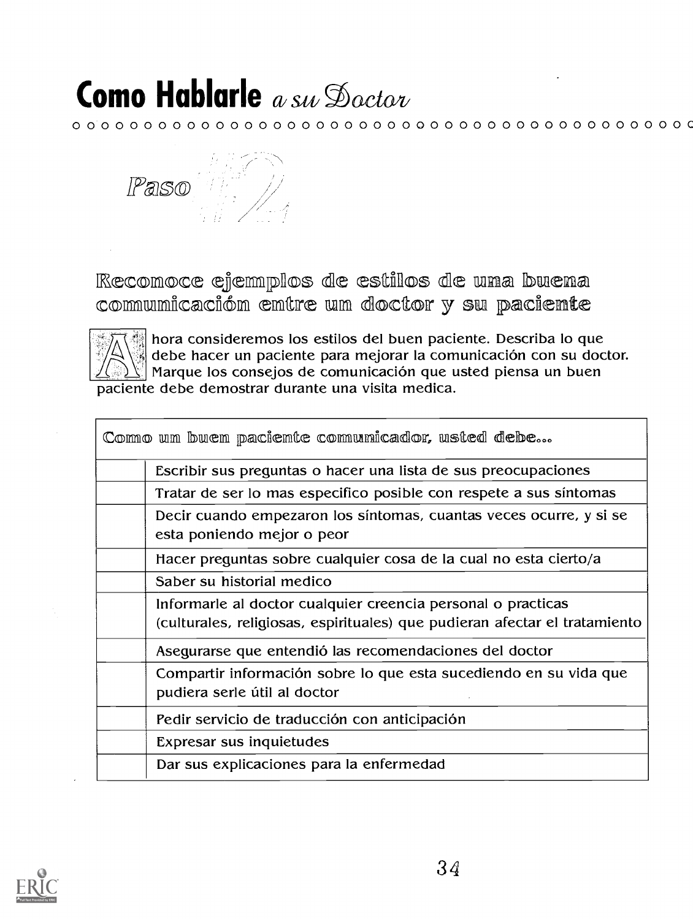0 0 0 0 0 0 0 0 0 0 0 0 0 0 0 0 0 0 0 0 0 0 0 0 0 0 0 0 0 0 0 0 0 0 0 0 0 0 0 0 0 0 0 C



Recomoce ejemplos de estilos de uma buena commumicacióm emtre um doctor y su paciente



hora consideremos los estilos del buen paciente. Describa lo que debe hacer un paciente para mejorar la comunicación con su doctor. Marque los consejos de comunicación que usted piensa un buen paciente debe demostrar durante una visita medica.

| Escribir sus preguntas o hacer una lista de sus preocupaciones<br>Tratar de ser lo mas especifico posible con respete a sus síntomas<br>Decir cuando empezaron los síntomas, cuantas veces ocurre, y si se<br>esta poniendo mejor o peor<br>Hacer preguntas sobre cualquier cosa de la cual no esta cierto/a<br>Saber su historial medico<br>Informarle al doctor cualquier creencia personal o practicas<br>(culturales, religiosas, espirituales) que pudieran afectar el tratamiento<br>Asegurarse que entendió las recomendaciones del doctor<br>Compartir información sobre lo que esta sucediendo en su vida que<br>pudiera serle útil al doctor<br>Pedir servicio de traducción con anticipación<br>Expresar sus inquietudes<br>Dar sus explicaciones para la enfermedad | Como um buem paciente comunicador, usted debe |
|---------------------------------------------------------------------------------------------------------------------------------------------------------------------------------------------------------------------------------------------------------------------------------------------------------------------------------------------------------------------------------------------------------------------------------------------------------------------------------------------------------------------------------------------------------------------------------------------------------------------------------------------------------------------------------------------------------------------------------------------------------------------------------|-----------------------------------------------|
|                                                                                                                                                                                                                                                                                                                                                                                                                                                                                                                                                                                                                                                                                                                                                                                 |                                               |
|                                                                                                                                                                                                                                                                                                                                                                                                                                                                                                                                                                                                                                                                                                                                                                                 |                                               |
|                                                                                                                                                                                                                                                                                                                                                                                                                                                                                                                                                                                                                                                                                                                                                                                 |                                               |
|                                                                                                                                                                                                                                                                                                                                                                                                                                                                                                                                                                                                                                                                                                                                                                                 |                                               |
|                                                                                                                                                                                                                                                                                                                                                                                                                                                                                                                                                                                                                                                                                                                                                                                 |                                               |
|                                                                                                                                                                                                                                                                                                                                                                                                                                                                                                                                                                                                                                                                                                                                                                                 |                                               |
|                                                                                                                                                                                                                                                                                                                                                                                                                                                                                                                                                                                                                                                                                                                                                                                 |                                               |
|                                                                                                                                                                                                                                                                                                                                                                                                                                                                                                                                                                                                                                                                                                                                                                                 |                                               |
|                                                                                                                                                                                                                                                                                                                                                                                                                                                                                                                                                                                                                                                                                                                                                                                 |                                               |
|                                                                                                                                                                                                                                                                                                                                                                                                                                                                                                                                                                                                                                                                                                                                                                                 |                                               |
|                                                                                                                                                                                                                                                                                                                                                                                                                                                                                                                                                                                                                                                                                                                                                                                 |                                               |

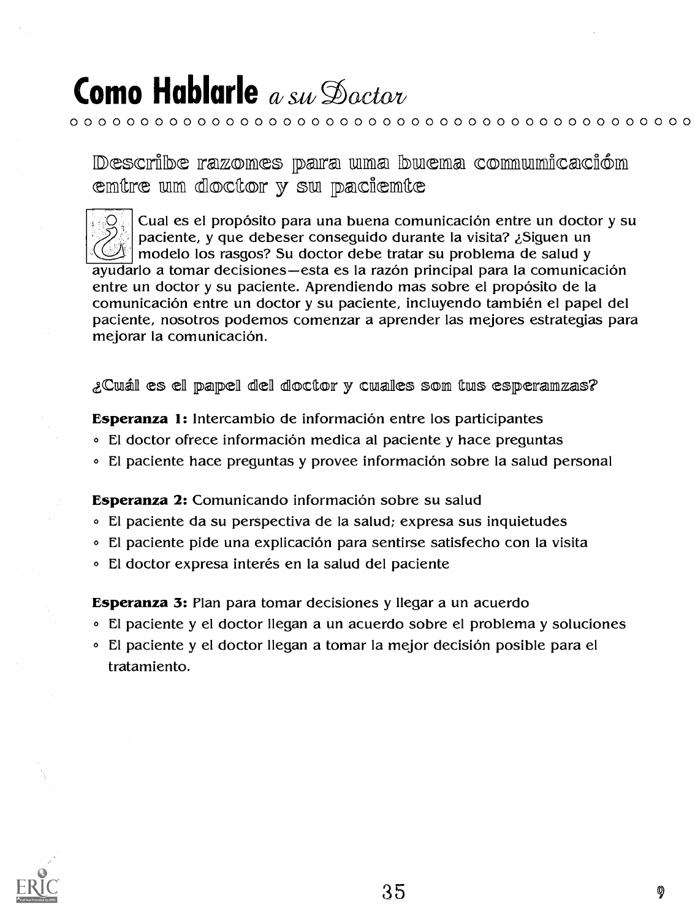### **Como Hablarle** a su Doctor

### ${\color{red} 0~\color{black} 0~\color{black} 0~\color{black} 0~\color{black} 0~\color{black} 0~\color{black} 0~\color{black} 0~\color{black} 0~\color{black} 0~\color{black} 0~\color{black} 0~\color{black} 0~\color{black} 0~\color{black} 0~\color{black} 0~\color{black} 0~\color{black} 0~\color{black} 0~\color{black} 0~\color{black} 0~\color{black} 0~\color{black} 0~\color{black} 0~\color{black} 0~\color{black} 0~\color{black} 0~\color{black$

Describe razomes para uma buema comumicacióm emtre um doctor y su paciente

Cual es el propósito para una buena comunicación entre un doctor y su paciente, y que debeser conseguido durante la visita? ¿Siguen un modelo los rasgos? Su doctor debe tratar su problema de salud y ayudarlo a tomar decisiones—esta es la razón principal para la comunicación entre un doctor y su paciente. Aprendiendo mas sobre el propósito de la comunicación entre un doctor y su paciente, incluyendo también el papel del paciente, nosotros podemos comenzar a aprender las mejores estrategias para mejorar la comunicación.

¿Cuál es el papel del doctor y cuales som tus esperamzas?

Esperanza 1: Intercambio de información entre los participantes

- El doctor ofrece información medica al paciente y hace preguntas
- El paciente hace preguntas y provee información sobre la salud personal

Esperanza 2: Comunicando información sobre su salud

- . El paciente da su perspectiva de la salud; expresa sus inquietudes
- . El paciente pide una explicación para sentirse satisfecho con la visita
- · El doctor expresa interés en la salud del paciente

Esperanza 3: Plan para tomar decisiones y llegar a un acuerdo

- El paciente y el doctor llegan a un acuerdo sobre el problema y soluciones
- . El paciente y el doctor llegan a tomar la mejor decisión posible para el tratamiento.

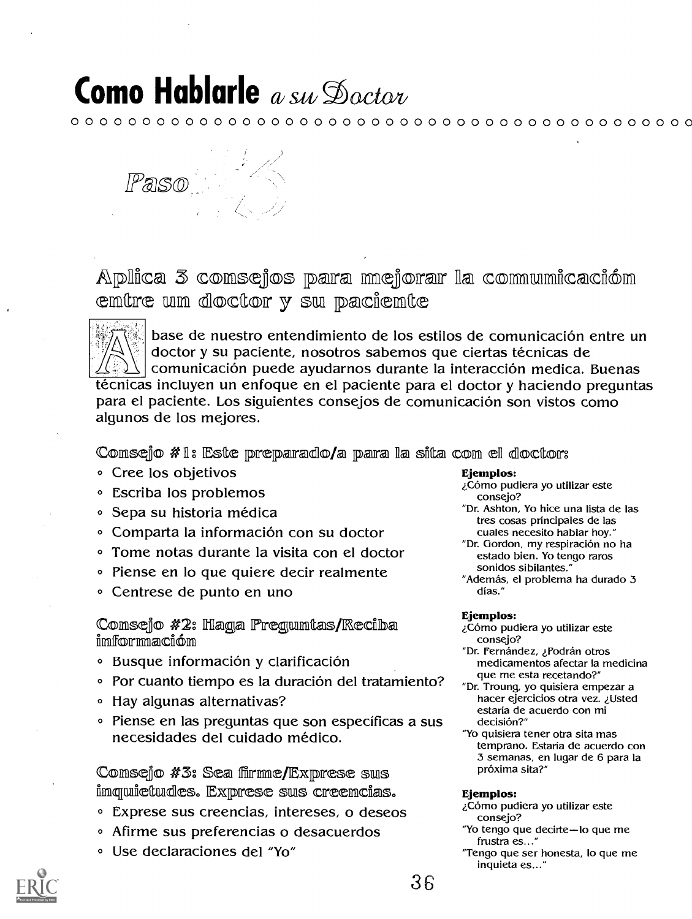${\color{red} 0~\color{black} 0~\color{black} 0~\color{black} 0~\color{black} 0~\color{black} 0~\color{black} 0~\color{black} 0~\color{black} 0~\color{black} 0~\color{black} 0~\color{black} 0~\color{black} 0~\color{black} 0~\color{black} 0~\color{black} 0~\color{black} 0~\color{black} 0~\color{black} 0~\color{black} 0~\color{black} 0~\color{black} 0~\color{black} 0~\color{black} 0~\color{black} 0~\color{black} 0~\color{black} 0~\color{black$ 



Aplica 3 comsejos para mejorar la comunicación emtre um doctor y su paciemte



base de nuestro entendimiento de los estilos de comunicación entre un doctor y su paciente, nosotros sabemos que ciertas técnicas de comunicación puede ayudarnos durante la interacción medica. Buenas técnicas incluyen un enfoque en el paciente para el doctor y haciendo preguntas para el paciente. Los siguientes consejos de comunicación son vistos como algunos de los mejores.

Comsejo #1: Este preparado/a para la sita com el doctor:

- Cree los objetivos
- **Escriba los problemos**
- Sepa su historia médica
- Comparta la información con su doctor
- Tome notas durante la visita con el doctor
- Piense en lo que quiere decir realmente
- Centrese de punto en uno

Comsejo #2: Haga Pregumtas/Reciba imformación

- · Busque información y clarificación
- Por cuanto tiempo es la duración del tratamiento?
- Hay algunas alternativas?
- · Piense en las preguntas que son específicas a sus necesidades del cuidado médico.

Comsejo #3: Sea filmme/Exprese sus imquietudes. Exprese sus creemcias.

- **Exprese sus creencias, intereses, o deseos**
- · Afirme sus preferencias o desacuerdos
- · Use declaraciones del "Yo"

### Ejemplos:

¿Cómo pudiera yo utilizar este consejo?

- "Dr. Ashton, Yo hice una lista de las tres cosas principales de las cuales necesito hablar hoy."
- "Dr. Gordon, my respiración no ha estado bien. Yo tengo raros sonidos sibilantes."

"Además, el problema ha durado 3 días."

### Ejemplos:

¿Cómo pudiera yo utilizar este consejo?

"Dr. Fernández, ¿Podrán otros medicamentos afectar la medicina que me esta recetando?"

- "Dr. Troung, yo quisiera empezar a hacer ejercicios otra vez. ¿Usted estaria de acuerdo con mi decisión?"
- "Yo quisiera tener otra sita mas temprano. Estaria de acuerdo con 3 semanas, en lugar de 6 para la próxima sita?"

#### Ejemplos:

- ¿Cómo pudiera yo utilizar este consejo?
- "Yo tengo que decirte-lo que me frustra es..."
- "Tengo que ser honesta, lo que me inquieta es..."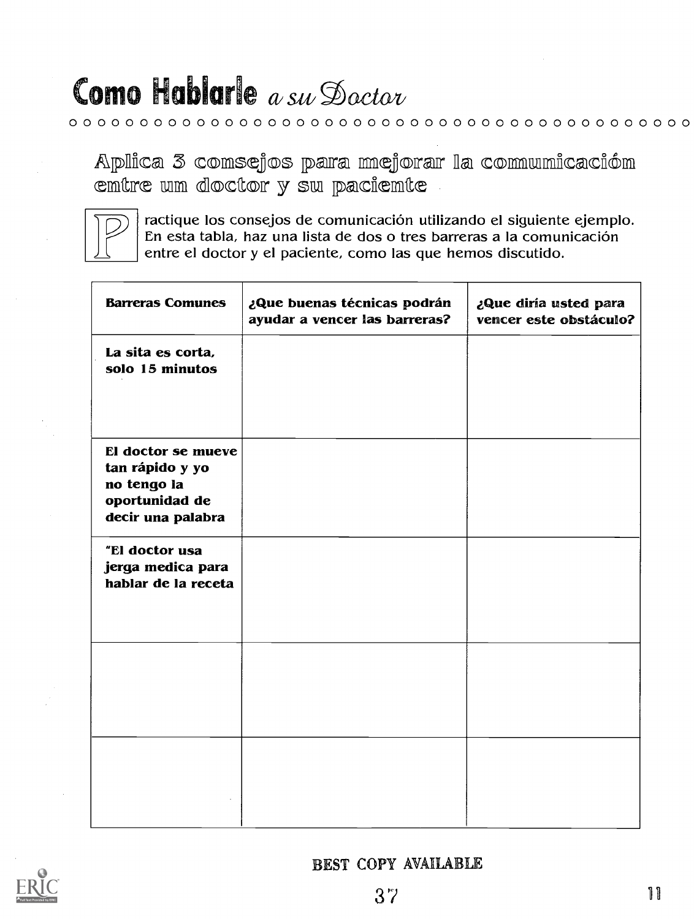### Como Hablarle  $a$  su Dactor

 ${\color{blue}0.0~{\color{blue}0.0~{\color{blue}0.0~{\color{blue}0.0~{\color{blue}0.0~{\color{blue}0.0~{\color{blue}0.0~{\color{blue}0.0~{\color{blue}0.0~{\color{blue}0.0~{\color{blue}0.0~{\color{blue}0.0~{\color{blue}0.0~{\color{blue}0.0~{\color{blue}0.0~{\color{blue}0.0~{\color{blue}0.0~{\color{blue}0.0~{\color{blue}0.0~{\color{blue}0.0~{\color{blue}0.0~{\color{blue}0.0~{\color{blue}0.0~{\color{blue}0.0~{\color{blue$ 

Aplica 3 comsejos para mejorar la comunicación emtre um doctor y su paciemte



ractique los consejos de comunicación utilizando el siguiente ejemplo. En esta tabla, haz una lista de dos o tres barreras a la comunicación entre el doctor y el paciente, como las que hemos discutido.

| <b>Barreras Comunes</b>                                                                     | ¿Que buenas técnicas podrán<br>ayudar a vencer las barreras? | ¿Que diría usted para<br>vencer este obstáculo? |
|---------------------------------------------------------------------------------------------|--------------------------------------------------------------|-------------------------------------------------|
| La sita es corta,<br>solo 15 minutos                                                        |                                                              |                                                 |
| El doctor se mueve<br>tan rápido y yo<br>no tengo la<br>oportunidad de<br>decir una palabra |                                                              |                                                 |
| "El doctor usa<br>jerga medica para<br>hablar de la receta                                  |                                                              |                                                 |
|                                                                                             |                                                              |                                                 |
|                                                                                             |                                                              |                                                 |

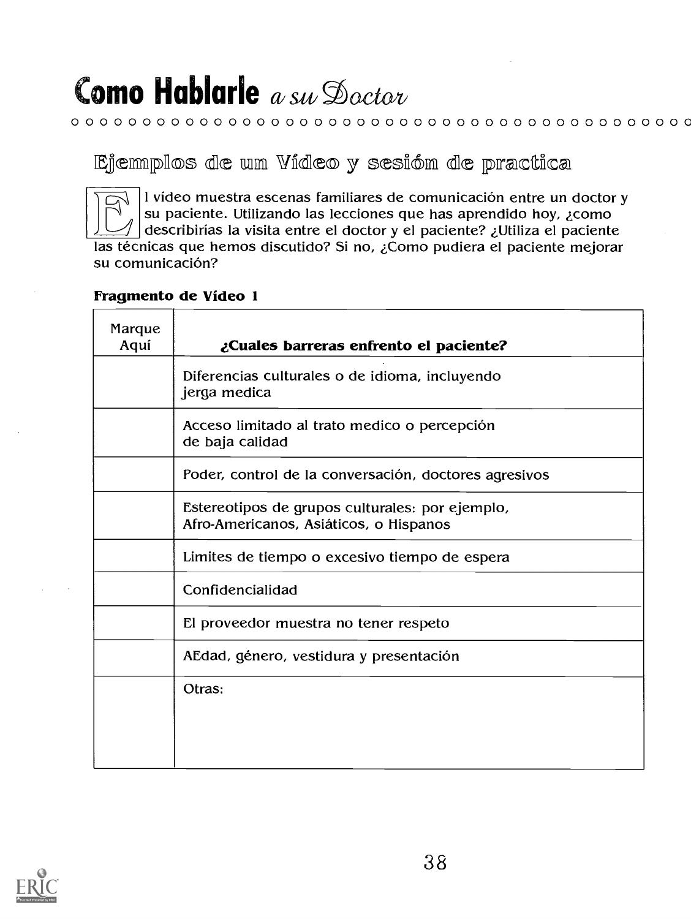### ${\color{blue}0.0~{\color{blue}0.0~{\color{blue}0.0~{\color{blue}0.0~{\color{blue}0.0~{\color{blue}0.0~{\color{blue}0.0~{\color{blue}0.0~{\color{blue}0.0~{\color{blue}0.0~{\color{blue}0.0~{\color{blue}0.0~{\color{blue}0.0~{\color{blue}0.0~{\color{blue}0.0~{\color{blue}0.0~{\color{blue}0.0~{\color{blue}0.0~{\color{blue}0.0~{\color{blue}0.0~{\color{blue}0.0~{\color{blue}0.0~{\color{blue}0.0~{\color{blue}0.0~{\color{blue$

Eiemmplos de um Vídeo y sesióm de practica



I vídeo muestra escenas familiares de comunicación entre un doctor y<br>su paciente. Utilizando las lecciones que has aprendido hoy, ¿como<br>describirías la visita entre el doctor y el paciente? ¿Utiliza el paciente su paciente. Utilizando las lecciones que has aprendido hoy, ¿como

describirias la visita entre el doctor y el paciente? zUtiliza el paciente las técnicas que hemos discutido? Si no, ¿Como pudiera el paciente mejorar su comunicación?

### Fragmento de Video 1

| Marque<br>Aquí | ¿Cuales barreras enfrento el paciente?                                                    |
|----------------|-------------------------------------------------------------------------------------------|
|                | Diferencias culturales o de idioma, incluyendo<br>jerga medica                            |
|                | Acceso limitado al trato medico o percepción<br>de baja calidad                           |
|                | Poder, control de la conversación, doctores agresivos                                     |
|                | Estereotipos de grupos culturales: por ejemplo,<br>Afro-Americanos, Asiáticos, o Hispanos |
|                | Limites de tiempo o excesivo tiempo de espera                                             |
|                | Confidencialidad                                                                          |
|                | El proveedor muestra no tener respeto                                                     |
|                | AEdad, género, vestidura y presentación                                                   |
|                | Otras:                                                                                    |

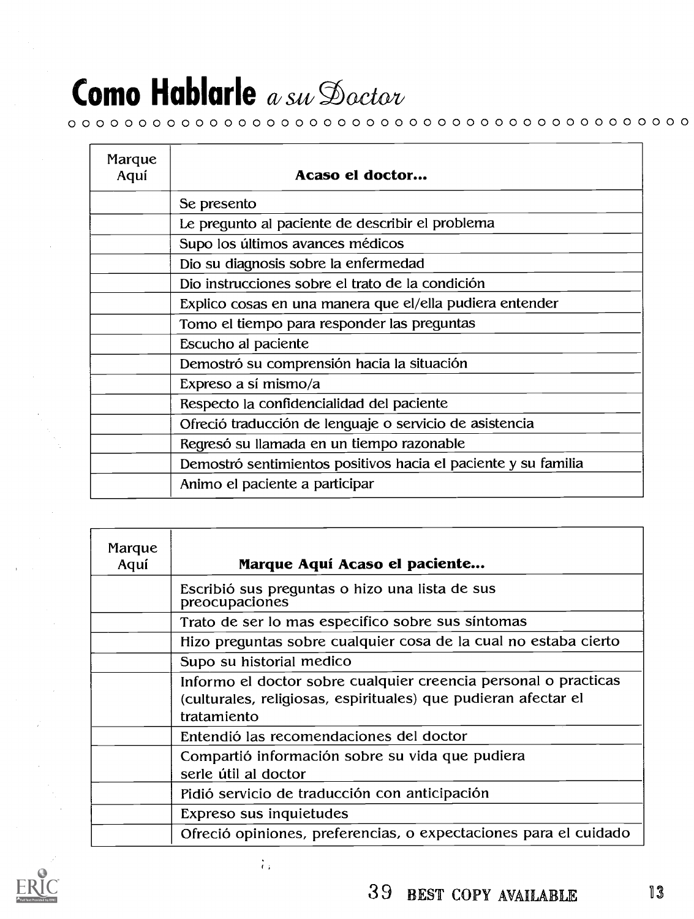### ${\color{blue}0.0~{\color{blue}0.0~{\color{blue}0.0~{\color{blue}0.0~{\color{blue}0.0~{\color{blue}0.0~{\color{blue}0.0~{\color{blue}0.0~{\color{blue}0.0~{\color{blue}0.0~{\color{blue}0.0~{\color{blue}0.0~{\color{blue}0.0~{\color{blue}0.0~{\color{blue}0.0~{\color{blue}0.0~{\color{blue}0.0~{\color{blue}0.0~{\color{blue}0.0~{\color{blue}0.0~{\color{blue}0.0~{\color{blue}0.0~{\color{blue}0.0~{\color{blue}0.0~{\color{blue$

| Marque<br>Aquí | Acaso el doctor                                                |
|----------------|----------------------------------------------------------------|
|                | Se presento                                                    |
|                | Le pregunto al paciente de describir el problema               |
|                | Supo los últimos avances médicos                               |
|                | Dio su diagnosis sobre la enfermedad                           |
|                | Dio instrucciones sobre el trato de la condición               |
|                | Explico cosas en una manera que el/ella pudiera entender       |
|                | Tomo el tiempo para responder las preguntas                    |
|                | Escucho al paciente                                            |
|                | Demostró su comprensión hacia la situación                     |
|                | Expreso a sí mismo/a                                           |
|                | Respecto la confidencialidad del paciente                      |
|                | Ofreció traducción de lenguaje o servicio de asistencia        |
|                | Regresó su llamada en un tiempo razonable                      |
|                | Demostró sentimientos positivos hacia el paciente y su familia |
|                | Animo el paciente a participar                                 |

| Marque<br>Aquí | Marque Aquí Acaso el paciente                                                                                                                    |
|----------------|--------------------------------------------------------------------------------------------------------------------------------------------------|
|                | Escribió sus preguntas o hizo una lista de sus<br>preocupaciones                                                                                 |
|                | Trato de ser lo mas especifico sobre sus síntomas                                                                                                |
|                | Hizo preguntas sobre cualquier cosa de la cual no estaba cierto                                                                                  |
|                | Supo su historial medico                                                                                                                         |
|                | Informo el doctor sobre cualquier creencia personal o practicas<br>(culturales, religiosas, espirituales) que pudieran afectar el<br>tratamiento |
|                | Entendió las recomendaciones del doctor                                                                                                          |
|                | Compartió información sobre su vida que pudiera<br>serle útil al doctor                                                                          |
|                | Pidió servicio de traducción con anticipación                                                                                                    |
|                | Expreso sus inquietudes                                                                                                                          |
|                | Ofreció opiniones, preferencias, o expectaciones para el cuidado                                                                                 |

 $\frac{1}{1+\epsilon}$ 

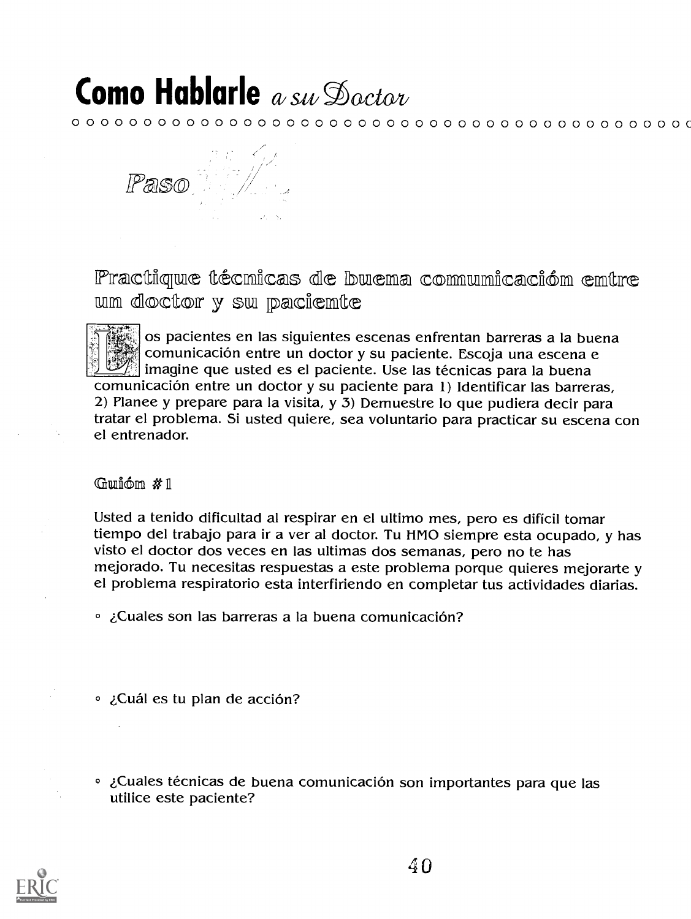${\color{red} 0} \circ {\color{red} 0} \circ {\color{red} 0} \circ {\color{red} 0} \circ {\color{red} 0} \circ {\color{red} 0} \circ {\color{red} 0} \circ {\color{red} 0} \circ {\color{red} 0} \circ {\color{red} 0} \circ {\color{red} 0} \circ {\color{red} 0} \circ {\color{red} 0} \circ {\color{red} 0} \circ {\color{red} 0} \circ {\color{red} 0} \circ {\color{red} 0} \circ {\color{red} 0} \circ {\color{red} 0} \circ {\color{red} 0} \circ {\color{red} 0} \circ {\color{red} 0} \circ$ 

Paso

Practique técmicas de buema comumicación emtre wm doctor y sw paciemte

os pacientes en las siguientes escenas enfrentan barreras a la buena comunicación entre un doctor y su paciente. Escoja una escena e  $\mathbb{Z}$  imagine que usted es el paciente. Use las técnicas para la buena comunicación entre un doctor y su paciente para 1) Identificar las barreras, 2) Planee y prepare para la visita, y 3) Demuestre lo que pudiera decir para tratar el problema. Si usted quiere, sea voluntario para practicar su escena con el entrenador.

### Guión  $\#1$

Usted a tenido dificultad al respirar en el ultimo mes, pero es difícil tomar tiempo del trabajo para ir a ver al doctor. Tu HMO siempre esta ocupado, y has visto el doctor dos veces en las ultimas dos semanas, pero no te has mejorado. Tu necesitas respuestas a este problema porque quieres mejorarte y el problema respiratorio esta interfiriendo en completar tus actividades diarias.

- ° ¿Cuales son las barreras a la buena comunicación?
- ° ¿Cuál es tu plan de acción?
- . ¿Cuales técnicas de buena comunicación son importantes para que las utilice este paciente?



40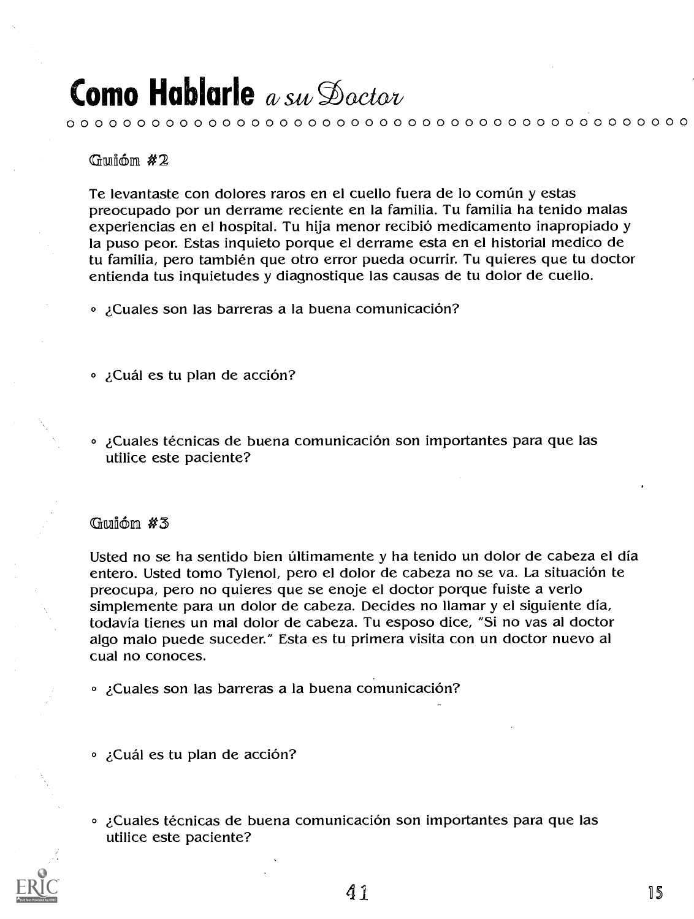0 0 0 0 0 0 0 0 0 0 0 0 0 0 0 0 0 0 0 0 0 0 0 0 0 0 0 0 0 0 0 0 0 0 0 0 0 0 0 0 0 0 0 0

Gwióm  $#2$ 

Te levantaste con dolores raros en el cuello fuera de lo común y estas preocupado por un derrame reciente en la familia. Tu familia ha tenido malas experiencias en el hospital. Tu hija menor recibio medicamento inapropiado y la puso peon Estas inquieto porque el derrame esta en el historial medico de tu familia, pero también que otro error pueda ocurrir. Tu quieres que tu doctor entienda tus inquietudes y diagnostique las causas de tu dolor de cuello.

• ¿Cuales son las barreras a la buena comunicación?

• ¿Cuál es tu plan de acción?

<sup>o</sup> ¿Cuales técnicas de buena comunicación son importantes para que las utilice este paciente?

### Gwión  $#3$

Usted no se ha sentido bien últimamente y ha tenido un dolor de cabeza el día entero. Usted tomo Tylenol, pero el dolor de cabeza no se va. La situación te preocupa, pero no quieres que se enoje el doctor porque fuiste a verlo simplemente para un dolor de cabeza. Decides no llamar y el siguiente dia, todavia tienes un mal dolor de cabeza. Tu esposo dice, "Si no vas al doctor algo malo puede suceder." Esta es tu primera visita con un doctor nuevo al cual no conoces.

• ¿Cuales son las barreras a la buena comunicación?

- ¿Cuál es tu plan de acción?
- <sup>o</sup> ¿Cuales técnicas de buena comunicación son importantes para que las utilice este paciente?

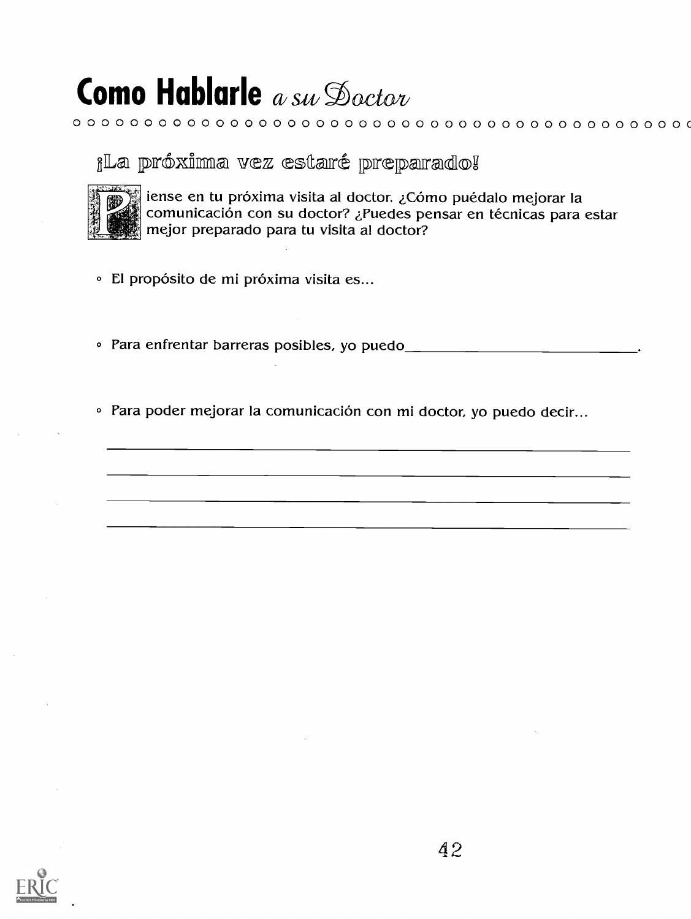### ¡La próxima vez estaré preparado!



iense en tu próxima visita al doctor. ¿Cómo puédalo mejorar la<br>comunicación con su doctor? ¿Puedes pensar en técnicas para estar mejor preparado para tu visita al doctor?

 ${\color{red} 0} {\color{red} 0} {\color{red} 0} {\color{red} 0} {\color{red} 0} {\color{red} 0} {\color{red} 0} {\color{red} 0} {\color{red} 0} {\color{red} 0} {\color{red} 0} {\color{red} 0} {\color{red} 0} {\color{red} 0} {\color{red} 0} {\color{red} 0} {\color{red} 0} {\color{red} 0} {\color{red} 0} {\color{red} 0} {\color{red} 0} {\color{red} 0} {\color{red} 0} {\color{red} 0} {\color{red} 0} {\color{red} 0} {\color{red} 0} {\color{red$ 

- · El propósito de mi próxima visita es...
- 
- · Para poder mejorar la comunicación con mi doctor, yo puedo decir...

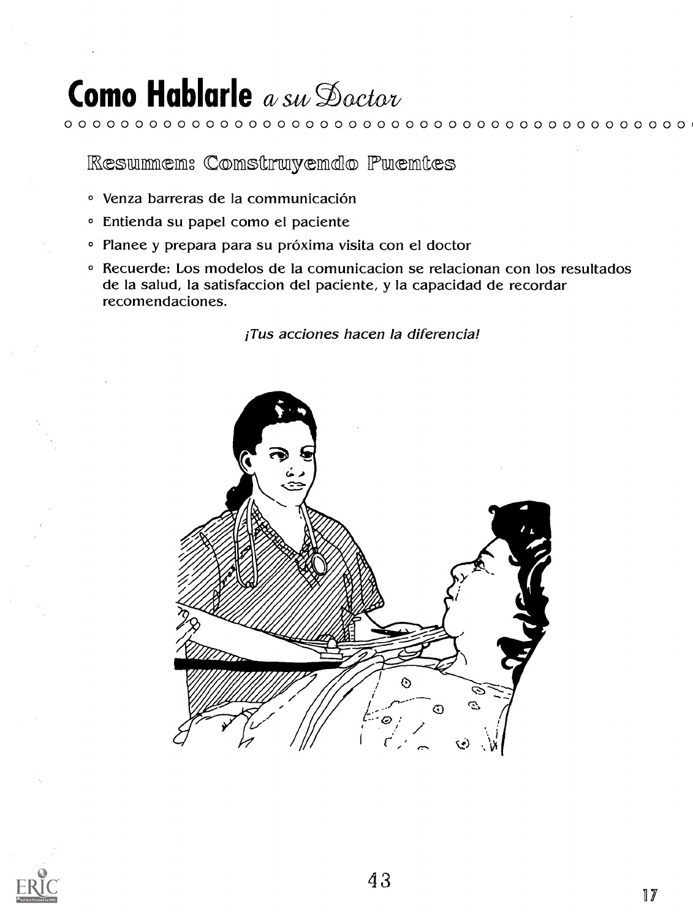### **Como Hablarle** a su Doctor

Resummem: Comstruyemdo Puemtes

- Venza barreras de la communicación
- · Entienda su papel como el paciente
- · Planee y prepara para su próxima visita con el doctor
- <sup>o</sup> Recuerde: Los modelos de la comunicacion se relacionan con los resultados de la salud, la satisfaccion del paciente, y la capacidad de recordar recomendaciones.

¡Tus acciones hacen la diferencia!



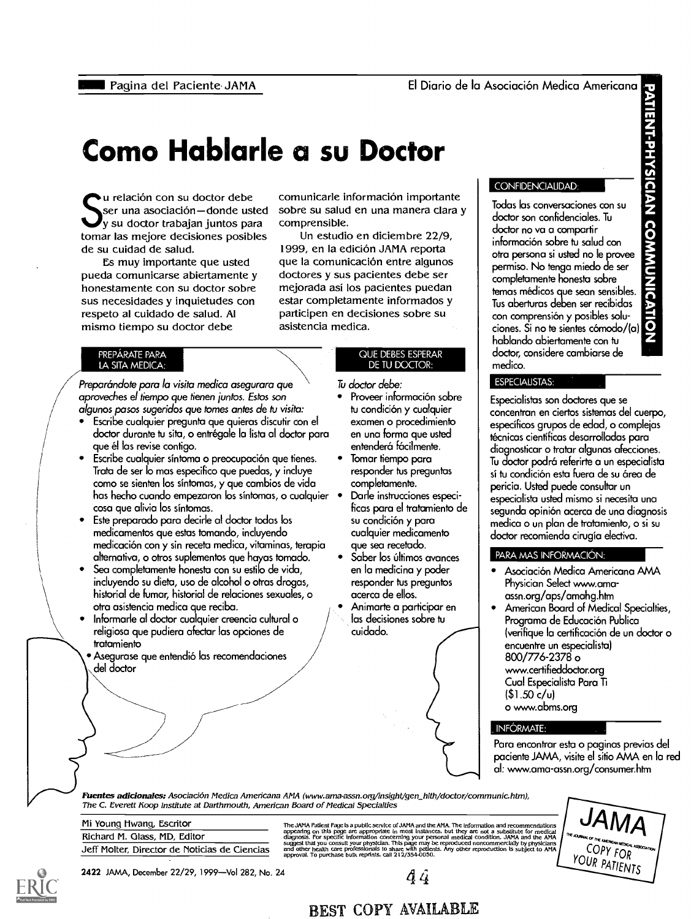### Como Hablarle a su Doctor

I u relación con su doctor debe ser una asociación-donde usted y su doctor trabajan juntos para tomar las mejore decisiones posibles de su cuidad de salud.

Es muy importante que usted pueda comunicarse abiertamente y honestamente con su doctor sobre sus necesidades y inquietudes con respeto al cuidado de salud. Al mismo tiempo su doctor debe

#### PREPARATE PARA LA SITA MEDICA:

Preparándote para la visita medica asegurara que  $\begin{array}{cc} \text{I} & \text{I} & \text{doct} \\ \text{approxeches el tiempo que tienen juntos. Estos son} & \bullet & \text{Proo} \\ \text{clgunos passss superidos que tomes antes de tu visita:} & \text{tucio} \\ \bullet & \text{Ecribe cualquier pregunta que quieris discentico.} \end{array}$ Preparándote para la visita medica asegurara que aproveches el tiempo que tienen juntas. Estos son algunos pasos sugeridos que tomes antes de to visita:

- doctor durante tu sita, o entrégale la lista al doctor para que él las revise contigo.
- Escribe cualquier síntoma o preocupación que tienes. Trata de ser lo mas especifico que puedas, y incluye como se sienten los sintomas, y que cambios de vida has hecho cuando empezaron los síntomas, o cualquier · cosa que alivia los sintomas.
- Este preparado para decirle al doctor todas los medicamentos que estos tomando, incluyendo medicación con y sin receta medica, vitaminas, terapia alternativa, o otros suplementos que hayas tornado.
- Sea completamente honesta con su estilo de vida, incluyendo su dieta, use de alcohol o otras drogas, historial de fumar, historial de relaciones sexuales, o otra asistencia medico que reciba.
- Informarle al doctor cualquier creencia cultural o religiosa que pudiera afectar las opciones de tratamiento
- Asegurase que entendio las recomendaciones del doctor

comunicarle información importante sobre su salud en una manera clara y comprensible.

Un estudio en diciembre 22/9, 1999, en la edición JAMA reporta que la comunicación entre algunos doctores y sus pacientes debe ser mejorada asi los pacientes puedan estar completamente informados y participen en decisiones sobre su asistencia medica.

#### QUE DEBES ESPERAR DE TU DOCTOR:

Tu doctor debe:

- Proveer información sobre tu condición y cualquier examen o procedimiento en una forma que usted entenderá fácilmente.
- Tomar tiempo para responder his preguntas completamente.
- Darle instrucciones especificas para el tratamiento de su condición y para cualquier medicamento que sea recetado.
- Saber los últimos avances en la medicina y poder responder tus preguntos acerca de ellos.
- Animarte a participar en las decisiones sobre to cuidado.

#### CONFIDENCIALIDAD:

Pagina del Paciente JAMA<br> **Del Carl de Carl de Carl de Carl de Carl de Carl de Carl de Carl de Carl de Carl de Carl de Carl de Carl de Carl de Carl de Carl de Carl de Carl de Carl de Carl de Carl de Carl de Carl de Carl de** Todas las conversaciones con su doctor son confidenciales. Tu doctor no va a compartir información sobre tu salud con otra persona si usted no le provee permiso. No tenga miedo de ser completamente honesta sabre temas médicos que sean sensibles. Tus aberturas deben ser recibidas con comprensión y posibles soluciones. Si no te sientes cómodo/(a) hablando abiertamente con to doctor, considere cambiarse de medico.

#### ESPECIALISTAS:

Especialistas son doctores que se concentran en ciertos sistemas del cuerpo, especificos grupos de edad, o complejas técnicas científicas desarrolladas para diagnosticar o tratar algunas afecciones. Tu doctor podra referirte a un especialista sí tu condición esta fuera de su área de pericia. Usted puede consultar un especialista usted mismo si necesita una segunda opinion acerca de una diagnosis medica o un plan de tratamiento, o si su doctor recomienda cirugia electiva.

#### **PARA MAS INFORMACIÓN:**

- Asociacion Medico Americana AMA Physician Select www.amaassn.org/aps/amahg.htm
- American Board of Medical Specialties, Programa de Educación Publica (verifique la certification de un doctor o encuentre un especialista) 800/776-2378 o www.certifieddoctororg Cual Especialista Para Ti (\$1.50 c/u) o www.abms.org

#### INFÓRMATE:

Para encontrar esta o paginas previas del paciente JAMA, visite el sitio AMA en la red al: www.ama-assn.org/consumer.htm

Fuentes adicionales: Asociación Medica Americana AMA (www.ama-assn.org/insight/gen\_hlth/doctor/communic.htm), The C. Everett Koop Institute at Darthmouth, American Board of Medical Specialties

Mi Young Hwang, Escritor Richard M. Glass, MD, Editor Jeff Molter, Director de Noticias de Ciencias

The JAMA Patient Page is a public service of JAMA and the AMA. The information and recommendations<br>appearing on this page are appropriate in most instances, but they are not a substitute for medical<br>diagnosis. For specifi



2422 JAMA, December 22/29, 1999—Vol 282, No. 24  $q_i$ 

**BEST COPY AVAILABLE** 

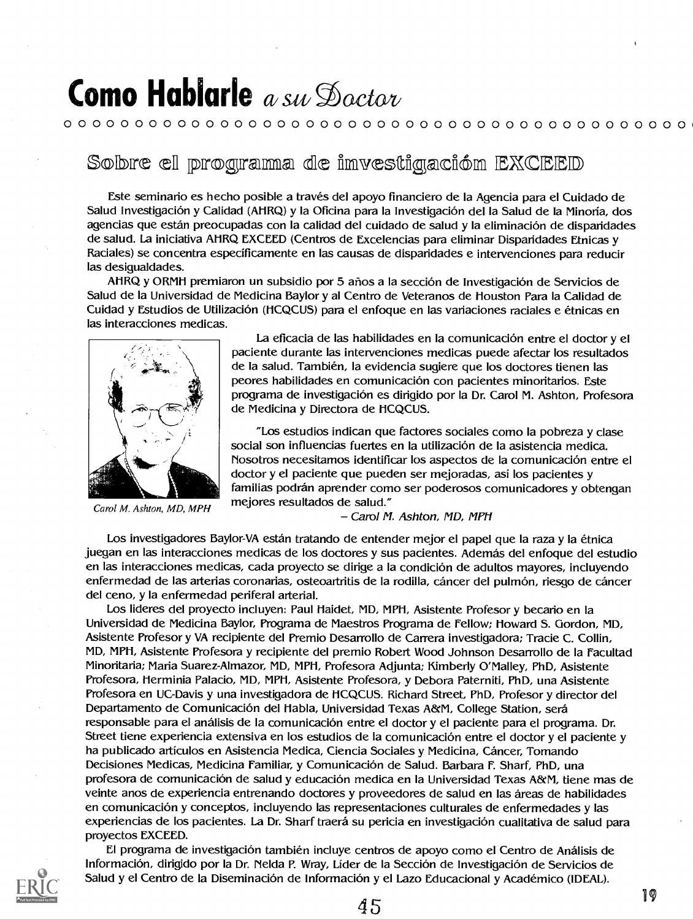### **Como Hablarle** a suit  $\mathcal{D}_{\alpha}$ ctor

### 0 0 0 0 0 0 0 0 0 0 0 0 0 0 0 0 0 0 0 0 0 0 0 0 0 0 0 0 0 0 0 0 0 0 0 0 0 0 0 0 0 0 0 0 i

### Sobre el programa de imvestigación EXCEED

Este seminario es hecho posible a traves del apoyo financiero de Ia Agencia para el Cuidado de Salud Investigación y Calidad (AHRQ) y la Oficina para la Investigación del la Salud de la Minoría, dos agencias que están preocupadas con la calidad del cuidado de salud y la eliminación de disparidades de salud. La iniciativa AHRQ EXCEED (Centros de Excelencias para eliminar Disparidades Etnicas y Raciales) se concentra especificamente en las causas de disparidades e intervenciones para reducir las desigualdades.

AHRQ y ORMH premiaron un subsidio por 5 años a la sección de Investigación de Servicios de Salud de la Universidad de Medicina Baylor y al Centro de Veteranos de Houston Para la Calidad de Cuidad y Estudios de Utilización (HCQCUS) para el enfoque en las variaciones raciales e étnicas en las interacciones medicas.



Carol M. Ashton, MD, MPH

La eficacia de las habilidades en la comunicación entre el doctor y el paciente durante las intervenciones medicas puede afectar los resultados de la salud. También, la evidencia sugiere que los doctores tienen las peores habilidades en comunicación con pacientes minoritarios. Este programa de investigación es dirigido por la Dr. Carol M. Ashton, Profesora de Medicina y Directora de HCQCUS.

"Los estudios indican que factores sociales como Ia pobreza y clase social son influencias fuertes en la utilización de la asistencia medica. Nosotros necesitamos identificar los aspectos de Ia comunicacion entre el doctor y el paciente que pueden ser mejoradas, asi los pacientes y familias podrán aprender como ser poderosos comunicadores y obtengan mejores resultados de salud."

- Carol M. Ashton, MD, MPH

Los investigadores Baylor-VA están tratando de entender mejor el papel que la raza y la étnica juegan en las interacciones medicas de los doctores y sus pacientes. Además del enfoque del estudio en las interacciones medicas, cada proyecto se dirige a la condición de adultos mayores, incluyendo enfermedad de las arterias coronarias, osteoartritis de la rodilla, cáncer del pulmón, riesgo de cáncer del ceno, y Ia enfermedad periferal arterial.

Los lideres del proyecto incluyen: Paul Haidet, MD, MPH, Asistente Profesor y becario en Ia Universidad de Medicina Baylor, Programa de Maestros Programa de Fellow; Howard S. Gordon, MD, Asistente Profesor y VA recipiente del Premio Desarrollo de Carrera investigadora; Tracie C. Collin, MD, MPH, Asistente Profesora y recipiente del premio Robert Wood Johnson Desarrollo de la Facultad Minoritaria; Maria Suarez-Almazor, MD, MPH, Profesora Adjunta; Kimberly O'Malley, PhD, Asistente Profesora, Herminia Palacio, MD, MPH, Asistente Profesora, y Debora Paterniti, PhD, una Asistente Profesora en UC-Davis y una investigadora de HCQCUS. Richard Street, PhD, Profesor y director del Departamento de Comunicación del Habla, Universidad Texas A&M, College Station, será responsable para el análisis de la comunicación entre el doctor y el paciente para el programa. Dr. Street tiene experiencia extensiva en los estudios de la comunicacion entre el doctor y el paciente y ha publicado artículos en Asistencia Medica, Ciencia Sociales y Medicina, Cáncer, Tomando Decisiones Medicas, Medicina Familiar, y Comunicación de Salud. Barbara F. Sharf, PhD, una profesora de comunicación de salud y educación medica en la Universidad Texas A&M, tiene mas de veinte anos de experiencia entrenando doctores y proveedores de salud en las areas de habilidades en comunicación y conceptos, incluyendo las representaciones culturales de enfermedades y las experiencias de los pacientes. La Dr. Sharf traerá su pericia en investigación cualitativa de salud para proyectos EXCEED.

El programa de investigación también incluye centros de apoyo como el Centro de Análisis de Información, dirigido por la Dr. Nelda P. Wray, Líder de la Sección de Investigación de Servicios de Salud y el Centro de la Diseminación de Información y el Lazo Educacional y Académico (IDEAL).



 $45$  19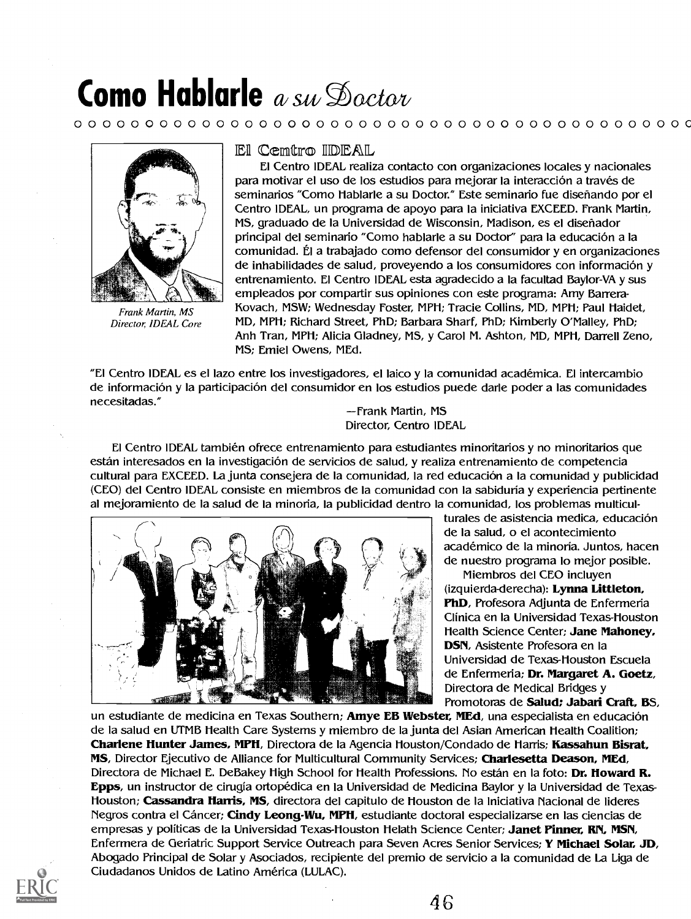### 0 0 0 0 0 0 0 0 0 0 0 0 0 0 0 0 0 0 0 0 0 0 0 0 0 0 0 0 0 0 0 0 0 0 0 0 0 0 0 0 0 0 0 C



Frank Martin, MS Director; IDEAL Core

#### El Cemtro IDEAL

El Centro IDEAL realiza contacto con organizaciones locales y nacionales para motivar el uso de los estudios para mejorar la interacción a través de seminarios "Como Hablarle a su Doctor." Este seminario fue diseñando por el Centro IDEAL, un programa de apoyo para la iniciativa EXCEED. Frank Martin, MS, graduado de Ia Universidad de Wisconsin, Madison, es el disenador principal del seminario "Como hablarle a su Doctor" para la educacion a la comunidad. El a trabajado como defensor del consumidor y en organizaciones de inhabilidades de salud, proveyendo a los consumidores con información y entrenamiento. El Centro IDEAL esta agradecido a la facultad Baylor-VA y sus empleados por compartir sus opiniones con este programa: Amy Barrera-Kovach, MSW; Wednesday Foster, MPH; Tracie Collins, MD, MPH; Paul Haidet, MD, MPH; Richard Street, PhD; Barbara Sharf, PhD; Kimberly O'Malley, PhD; Anh Tran, MPH; Alicia Gladney, MS, y Carol M. Ashton, MD, MPH, Darrell Zeno, MS; Emiel Owens, MEd.

"El Centro IDEAL es el lazo entre los investigadores, el laico y la comunidad academica. El intercambio de información y la participación del consumidor en los estudios puede darle poder a las comunidades necesitadas." Frank Martin, MS

Director, Centro IDEAL

El Centro IDEAL tambien ofrece entrenamiento para estudiantes minoritarios y no minoritarios que están interesados en la investigación de servicios de salud, y realiza entrenamiento de competencia cultural para EXCEED. La junta consejera de Ia comunidad, la red educacion a la comunidad y publicidad (CEO) del Centro IDEAL consiste en miembros de la comunidad con la sabiduria y experiencia pertinente al mejoramiento de la salud de Ia minoria, la publicidad dentro la comunidad, los problemas multicul-



turales de asistencia medica, educación de la salud, o el acontecimiento académico de la minoría. Juntos, hacen de nuestro programa lo mejor posible.

Miembros del CEO incluyen (izquierda-derecha): Lynna Littleton, PhD, Profesora Adjunta de Enfermeria Clinica en la Universidad Texas-Houston Health Science Center; Jane Mahoney, DSN, Asistente Profesora en la Universidad de Texas-Houston Escuela de Enfermeria; Dr. Margaret A. Goetz, Directora de Medical Bridges y Promotoras de Salud; Jabari Craft, BS,

un estudiante de medicina en Texas Southern; Amye EB Webster, MEd, una especialista en educación de la salud en UTMB Health Care Systems y miembro de la junta del Asian American Health Coalition; Charlene Hunter James, MPH, Directora de la Agencia Houston/Condado de Harris; Kassahun Bisrat, MS, Director Ejecutivo de Alliance for Multicultural Community Services; Charlesetta Deason, MEd, Directora de Michael E. DeBakey High School for Health Professions. No están en la foto: Dr. Howard R. Epps, un instructor de cirugía ortopédica en la Universidad de Medicina Baylor y la Universidad de Texas-Houston; Cassandra Harris, MS, directora del capitulo de Houston de la Iniciativa Nacional de lideres Negros contra el Cáncer; Cindy Leong-Wu, MPH, estudiante doctoral especializarse en las ciencias de empresas y políticas de la Universidad Texas-Houston Helath Science Center; Janet Pinner, RN, MSN, Enfermera de Geriatric Support Service Outreach para Seven Acres Senior Services; Y Michael Solar, JD, Abogado Principal de Solar y Asociados, recipiente del premio de servicio a la comunidad de La Liga de Ciudadanos Unidos de Latino America (LULAC).

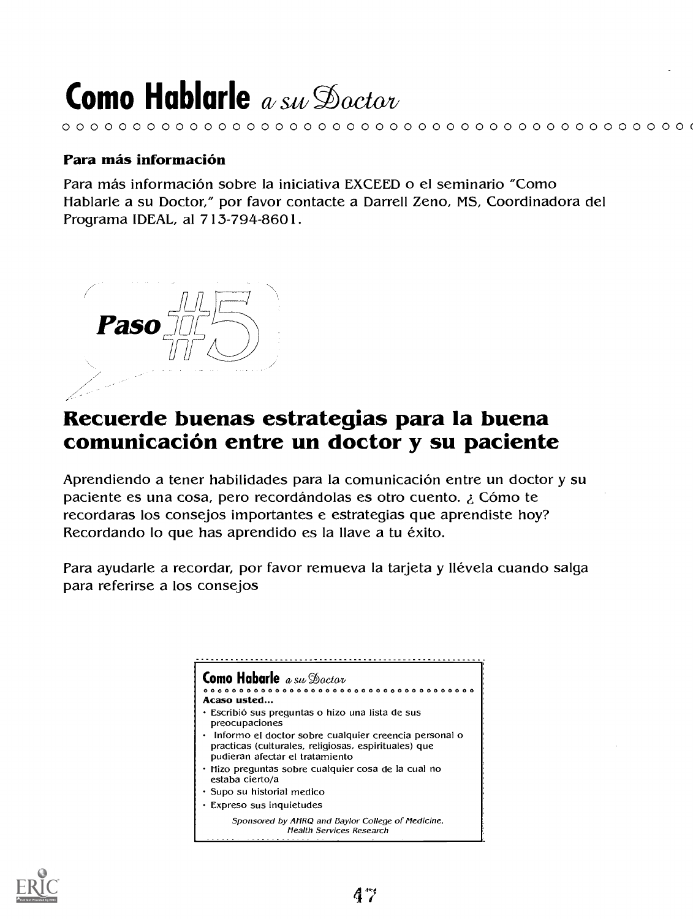### 0 0 0 0 0 0 0 0 0 0 0 0 0 0 0 0 0 0 0 0 0 0 0 0 0 0 0 0 0 0 0 0 0 0 0 0 0 0 0 0 0 0 0 0 (

### Para más información

Para más información sobre la iniciativa EXCEED o el seminario "Como tlablarle a su Doctor," por favor contacte a Darrell Zeno, MS, Coordinadora del Programa IDEAL, at 713-794-8601.



### Recuerde buenas estrategias para la buena comunicacion entre un doctor y su paciente

Aprendiendo a tener habilidades para Ia comunicacion entre un doctor y su paciente es una cosa, pero recordándolas es otro cuento. ¿ Cómo te recordaras los consejos importantes e estrategias que aprendiste hoy? Recordando lo que has aprendido es la llave a tu éxito.

Para ayudarle a recordar, por favor remueva la tarjeta y llévela cuando salga para referirse a los consejos



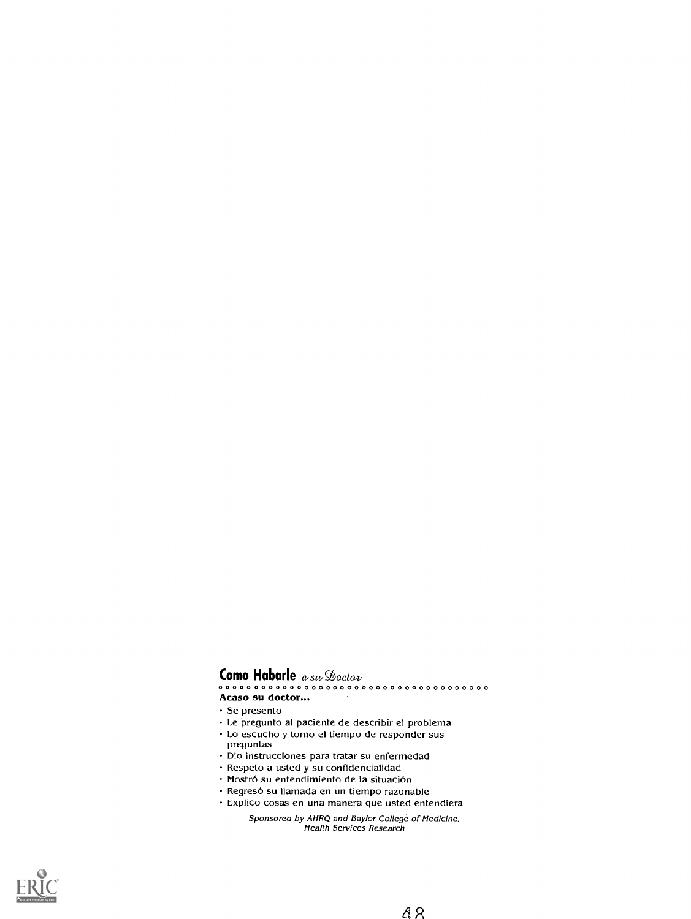0 0 0 0 0 0 0 0 0 0 0 0 0 0 0 0 0 0 0 0 0 0 0 0 0 0 0 0 0 0 0 0 0 0 0 0 0 0 Acaso su doctor...

- Se presento
- Le pregunto al paciente de describir el problema
- Lo escucho y tomo el tiempo de responder sus
- preguntas
- Dio instrucciones para tratar su enfermedad
- Respeto a usted y su confidencialidad
- · Mostró su entendimiento de la situación
- · Regresó su llamada en un tiempo razonable
- Explico cosas en una manera que usted entendiera

Sponsored by AHRQ and Baylor College of Medicine, Health Services Research